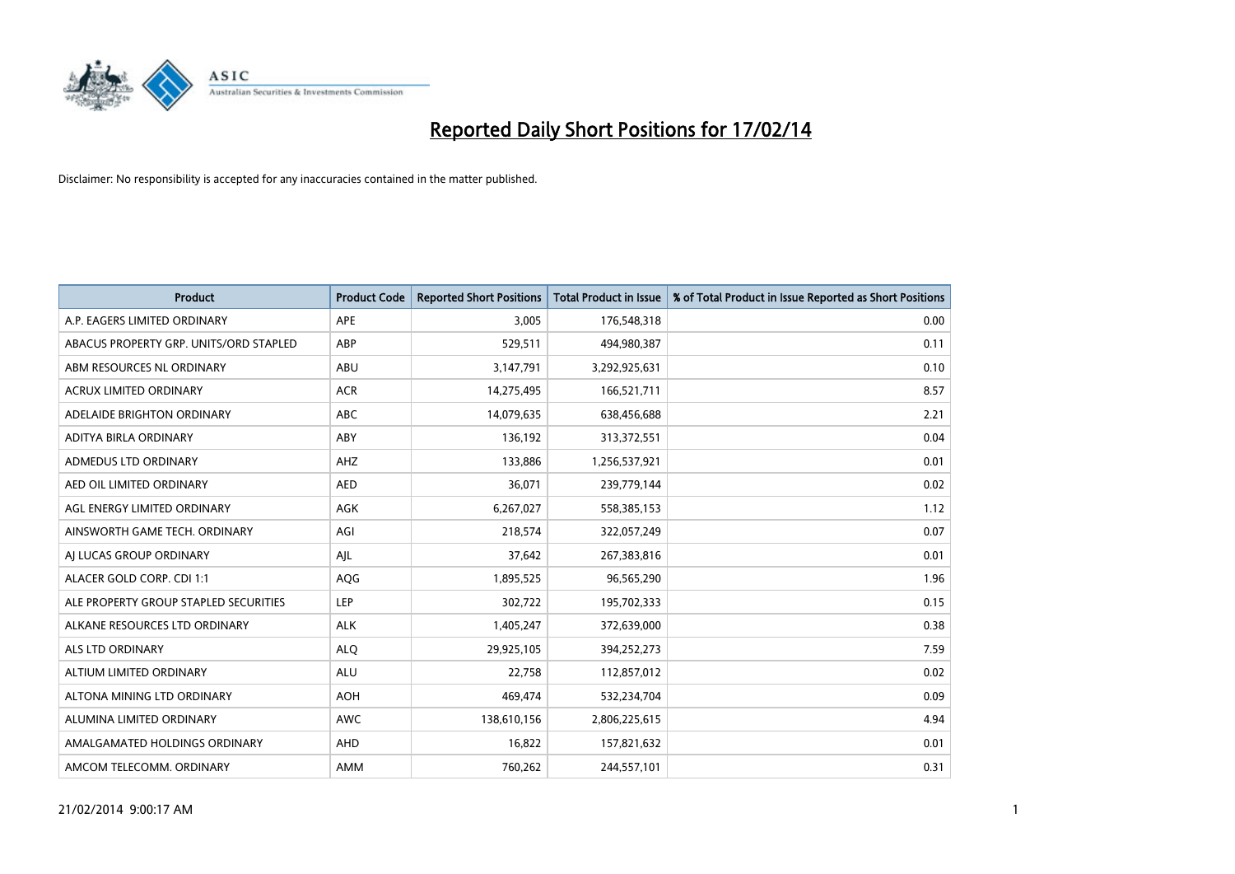

| <b>Product</b>                         | <b>Product Code</b> | <b>Reported Short Positions</b> | <b>Total Product in Issue</b> | % of Total Product in Issue Reported as Short Positions |
|----------------------------------------|---------------------|---------------------------------|-------------------------------|---------------------------------------------------------|
| A.P. EAGERS LIMITED ORDINARY           | <b>APE</b>          | 3,005                           | 176,548,318                   | 0.00                                                    |
| ABACUS PROPERTY GRP. UNITS/ORD STAPLED | ABP                 | 529,511                         | 494,980,387                   | 0.11                                                    |
| ABM RESOURCES NL ORDINARY              | ABU                 | 3,147,791                       | 3,292,925,631                 | 0.10                                                    |
| ACRUX LIMITED ORDINARY                 | <b>ACR</b>          | 14,275,495                      | 166,521,711                   | 8.57                                                    |
| ADELAIDE BRIGHTON ORDINARY             | <b>ABC</b>          | 14,079,635                      | 638,456,688                   | 2.21                                                    |
| ADITYA BIRLA ORDINARY                  | ABY                 | 136,192                         | 313,372,551                   | 0.04                                                    |
| ADMEDUS LTD ORDINARY                   | AHZ                 | 133,886                         | 1,256,537,921                 | 0.01                                                    |
| AED OIL LIMITED ORDINARY               | <b>AED</b>          | 36,071                          | 239,779,144                   | 0.02                                                    |
| AGL ENERGY LIMITED ORDINARY            | <b>AGK</b>          | 6,267,027                       | 558,385,153                   | 1.12                                                    |
| AINSWORTH GAME TECH. ORDINARY          | AGI                 | 218,574                         | 322,057,249                   | 0.07                                                    |
| AI LUCAS GROUP ORDINARY                | AJL                 | 37,642                          | 267,383,816                   | 0.01                                                    |
| ALACER GOLD CORP. CDI 1:1              | AQG                 | 1,895,525                       | 96,565,290                    | 1.96                                                    |
| ALE PROPERTY GROUP STAPLED SECURITIES  | <b>LEP</b>          | 302,722                         | 195,702,333                   | 0.15                                                    |
| ALKANE RESOURCES LTD ORDINARY          | <b>ALK</b>          | 1,405,247                       | 372,639,000                   | 0.38                                                    |
| ALS LTD ORDINARY                       | <b>ALQ</b>          | 29,925,105                      | 394,252,273                   | 7.59                                                    |
| ALTIUM LIMITED ORDINARY                | <b>ALU</b>          | 22,758                          | 112,857,012                   | 0.02                                                    |
| ALTONA MINING LTD ORDINARY             | <b>AOH</b>          | 469,474                         | 532,234,704                   | 0.09                                                    |
| ALUMINA LIMITED ORDINARY               | <b>AWC</b>          | 138,610,156                     | 2,806,225,615                 | 4.94                                                    |
| AMALGAMATED HOLDINGS ORDINARY          | AHD                 | 16,822                          | 157,821,632                   | 0.01                                                    |
| AMCOM TELECOMM. ORDINARY               | <b>AMM</b>          | 760,262                         | 244,557,101                   | 0.31                                                    |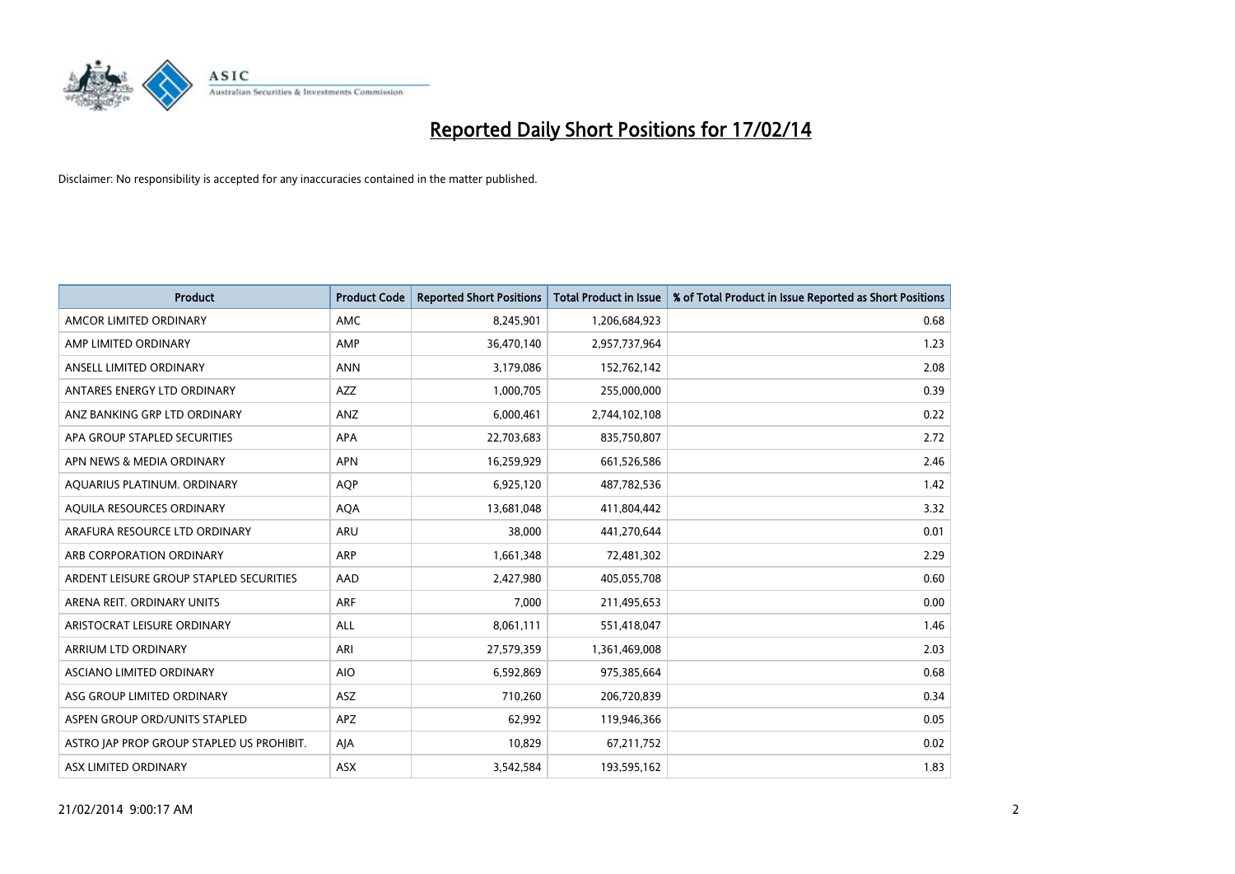

| <b>Product</b>                            | <b>Product Code</b> | <b>Reported Short Positions</b> | <b>Total Product in Issue</b> | % of Total Product in Issue Reported as Short Positions |
|-------------------------------------------|---------------------|---------------------------------|-------------------------------|---------------------------------------------------------|
| AMCOR LIMITED ORDINARY                    | AMC                 | 8,245,901                       | 1,206,684,923                 | 0.68                                                    |
| AMP LIMITED ORDINARY                      | AMP                 | 36,470,140                      | 2,957,737,964                 | 1.23                                                    |
| ANSELL LIMITED ORDINARY                   | <b>ANN</b>          | 3,179,086                       | 152,762,142                   | 2.08                                                    |
| ANTARES ENERGY LTD ORDINARY               | AZZ                 | 1,000,705                       | 255,000,000                   | 0.39                                                    |
| ANZ BANKING GRP LTD ORDINARY              | ANZ                 | 6,000,461                       | 2,744,102,108                 | 0.22                                                    |
| APA GROUP STAPLED SECURITIES              | <b>APA</b>          | 22,703,683                      | 835,750,807                   | 2.72                                                    |
| APN NEWS & MEDIA ORDINARY                 | <b>APN</b>          | 16,259,929                      | 661,526,586                   | 2.46                                                    |
| AQUARIUS PLATINUM. ORDINARY               | <b>AOP</b>          | 6,925,120                       | 487,782,536                   | 1.42                                                    |
| AQUILA RESOURCES ORDINARY                 | <b>AQA</b>          | 13,681,048                      | 411,804,442                   | 3.32                                                    |
| ARAFURA RESOURCE LTD ORDINARY             | ARU                 | 38,000                          | 441,270,644                   | 0.01                                                    |
| ARB CORPORATION ORDINARY                  | ARP                 | 1,661,348                       | 72,481,302                    | 2.29                                                    |
| ARDENT LEISURE GROUP STAPLED SECURITIES   | AAD                 | 2,427,980                       | 405,055,708                   | 0.60                                                    |
| ARENA REIT. ORDINARY UNITS                | <b>ARF</b>          | 7,000                           | 211,495,653                   | 0.00                                                    |
| ARISTOCRAT LEISURE ORDINARY               | ALL                 | 8,061,111                       | 551,418,047                   | 1.46                                                    |
| ARRIUM LTD ORDINARY                       | ARI                 | 27,579,359                      | 1,361,469,008                 | 2.03                                                    |
| ASCIANO LIMITED ORDINARY                  | <b>AIO</b>          | 6,592,869                       | 975,385,664                   | 0.68                                                    |
| ASG GROUP LIMITED ORDINARY                | ASZ                 | 710,260                         | 206,720,839                   | 0.34                                                    |
| ASPEN GROUP ORD/UNITS STAPLED             | <b>APZ</b>          | 62,992                          | 119,946,366                   | 0.05                                                    |
| ASTRO JAP PROP GROUP STAPLED US PROHIBIT. | AJA                 | 10,829                          | 67,211,752                    | 0.02                                                    |
| ASX LIMITED ORDINARY                      | ASX                 | 3,542,584                       | 193,595,162                   | 1.83                                                    |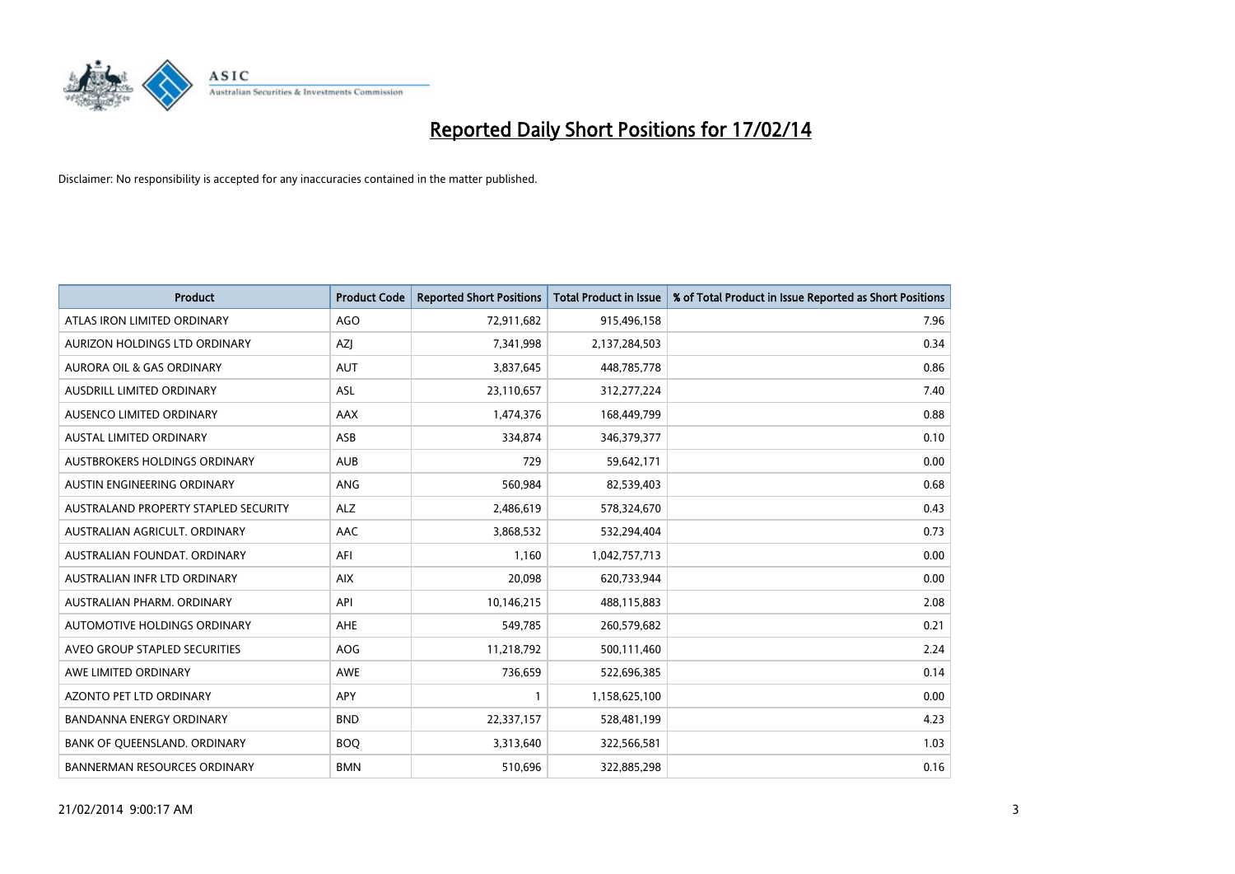

| <b>Product</b>                       | <b>Product Code</b> | <b>Reported Short Positions</b> | <b>Total Product in Issue</b> | % of Total Product in Issue Reported as Short Positions |
|--------------------------------------|---------------------|---------------------------------|-------------------------------|---------------------------------------------------------|
| ATLAS IRON LIMITED ORDINARY          | AGO                 | 72,911,682                      | 915,496,158                   | 7.96                                                    |
| AURIZON HOLDINGS LTD ORDINARY        | AZI                 | 7,341,998                       | 2,137,284,503                 | 0.34                                                    |
| <b>AURORA OIL &amp; GAS ORDINARY</b> | <b>AUT</b>          | 3,837,645                       | 448,785,778                   | 0.86                                                    |
| AUSDRILL LIMITED ORDINARY            | ASL                 | 23,110,657                      | 312,277,224                   | 7.40                                                    |
| AUSENCO LIMITED ORDINARY             | AAX                 | 1,474,376                       | 168,449,799                   | 0.88                                                    |
| <b>AUSTAL LIMITED ORDINARY</b>       | ASB                 | 334,874                         | 346,379,377                   | 0.10                                                    |
| AUSTBROKERS HOLDINGS ORDINARY        | <b>AUB</b>          | 729                             | 59,642,171                    | 0.00                                                    |
| AUSTIN ENGINEERING ORDINARY          | ANG                 | 560,984                         | 82,539,403                    | 0.68                                                    |
| AUSTRALAND PROPERTY STAPLED SECURITY | <b>ALZ</b>          | 2,486,619                       | 578,324,670                   | 0.43                                                    |
| AUSTRALIAN AGRICULT, ORDINARY        | AAC                 | 3,868,532                       | 532,294,404                   | 0.73                                                    |
| AUSTRALIAN FOUNDAT. ORDINARY         | AFI                 | 1,160                           | 1,042,757,713                 | 0.00                                                    |
| AUSTRALIAN INFR LTD ORDINARY         | <b>AIX</b>          | 20,098                          | 620,733,944                   | 0.00                                                    |
| AUSTRALIAN PHARM. ORDINARY           | API                 | 10,146,215                      | 488,115,883                   | 2.08                                                    |
| AUTOMOTIVE HOLDINGS ORDINARY         | AHE                 | 549,785                         | 260,579,682                   | 0.21                                                    |
| AVEO GROUP STAPLED SECURITIES        | AOG                 | 11,218,792                      | 500,111,460                   | 2.24                                                    |
| AWE LIMITED ORDINARY                 | AWE                 | 736,659                         | 522,696,385                   | 0.14                                                    |
| AZONTO PET LTD ORDINARY              | APY                 | $\mathbf{1}$                    | 1,158,625,100                 | 0.00                                                    |
| <b>BANDANNA ENERGY ORDINARY</b>      | <b>BND</b>          | 22,337,157                      | 528,481,199                   | 4.23                                                    |
| BANK OF QUEENSLAND. ORDINARY         | <b>BOQ</b>          | 3,313,640                       | 322,566,581                   | 1.03                                                    |
| <b>BANNERMAN RESOURCES ORDINARY</b>  | <b>BMN</b>          | 510,696                         | 322,885,298                   | 0.16                                                    |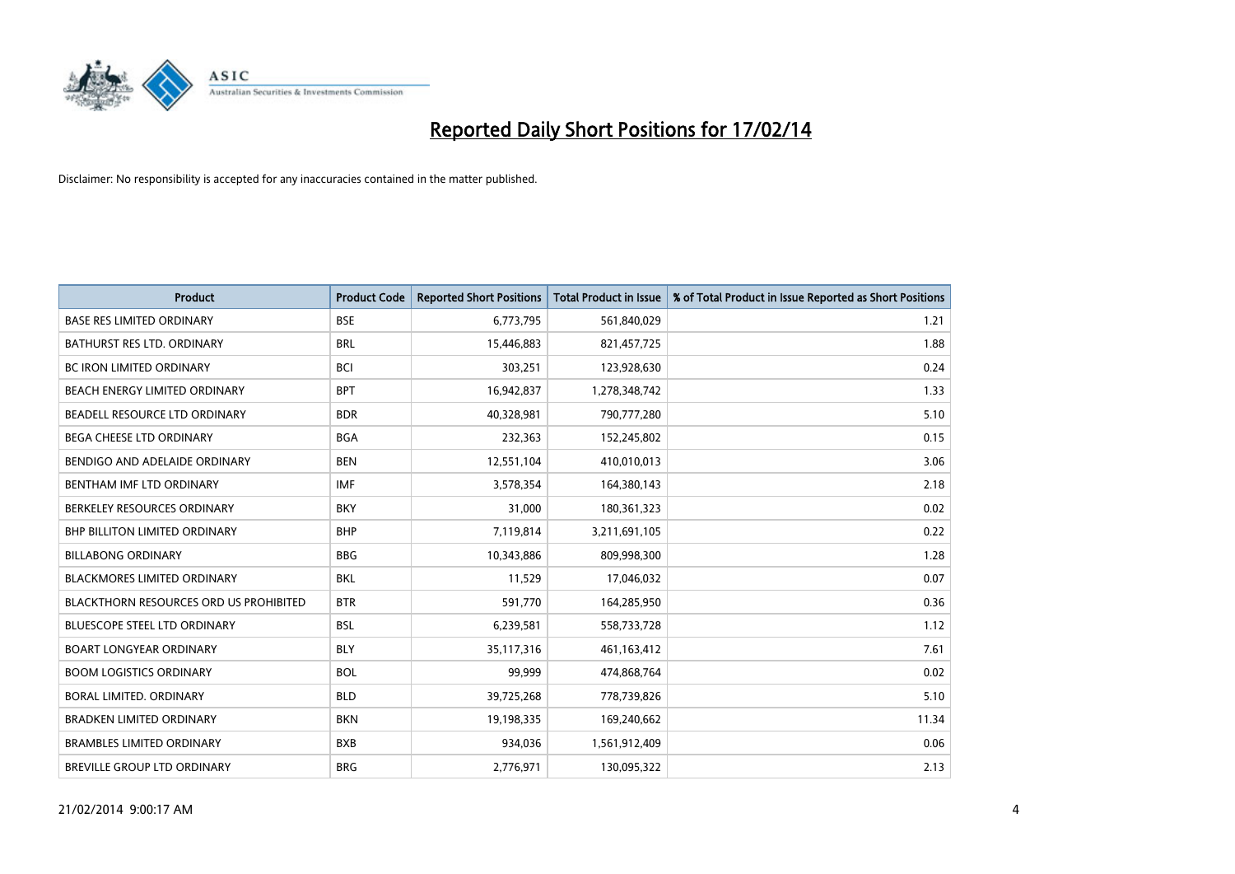

| <b>Product</b>                         | <b>Product Code</b> | <b>Reported Short Positions</b> | <b>Total Product in Issue</b> | % of Total Product in Issue Reported as Short Positions |
|----------------------------------------|---------------------|---------------------------------|-------------------------------|---------------------------------------------------------|
| <b>BASE RES LIMITED ORDINARY</b>       | <b>BSE</b>          | 6,773,795                       | 561,840,029                   | 1.21                                                    |
| BATHURST RES LTD. ORDINARY             | <b>BRL</b>          | 15,446,883                      | 821,457,725                   | 1.88                                                    |
| <b>BC IRON LIMITED ORDINARY</b>        | <b>BCI</b>          | 303,251                         | 123,928,630                   | 0.24                                                    |
| BEACH ENERGY LIMITED ORDINARY          | <b>BPT</b>          | 16,942,837                      | 1,278,348,742                 | 1.33                                                    |
| BEADELL RESOURCE LTD ORDINARY          | <b>BDR</b>          | 40,328,981                      | 790,777,280                   | 5.10                                                    |
| <b>BEGA CHEESE LTD ORDINARY</b>        | <b>BGA</b>          | 232,363                         | 152,245,802                   | 0.15                                                    |
| BENDIGO AND ADELAIDE ORDINARY          | <b>BEN</b>          | 12,551,104                      | 410,010,013                   | 3.06                                                    |
| BENTHAM IMF LTD ORDINARY               | <b>IMF</b>          | 3,578,354                       | 164,380,143                   | 2.18                                                    |
| BERKELEY RESOURCES ORDINARY            | <b>BKY</b>          | 31,000                          | 180,361,323                   | 0.02                                                    |
| <b>BHP BILLITON LIMITED ORDINARY</b>   | <b>BHP</b>          | 7,119,814                       | 3,211,691,105                 | 0.22                                                    |
| <b>BILLABONG ORDINARY</b>              | <b>BBG</b>          | 10,343,886                      | 809,998,300                   | 1.28                                                    |
| <b>BLACKMORES LIMITED ORDINARY</b>     | BKL                 | 11,529                          | 17,046,032                    | 0.07                                                    |
| BLACKTHORN RESOURCES ORD US PROHIBITED | <b>BTR</b>          | 591,770                         | 164,285,950                   | 0.36                                                    |
| <b>BLUESCOPE STEEL LTD ORDINARY</b>    | <b>BSL</b>          | 6,239,581                       | 558,733,728                   | 1.12                                                    |
| <b>BOART LONGYEAR ORDINARY</b>         | <b>BLY</b>          | 35,117,316                      | 461,163,412                   | 7.61                                                    |
| <b>BOOM LOGISTICS ORDINARY</b>         | <b>BOL</b>          | 99,999                          | 474,868,764                   | 0.02                                                    |
| BORAL LIMITED. ORDINARY                | <b>BLD</b>          | 39,725,268                      | 778,739,826                   | 5.10                                                    |
| <b>BRADKEN LIMITED ORDINARY</b>        | <b>BKN</b>          | 19,198,335                      | 169,240,662                   | 11.34                                                   |
| <b>BRAMBLES LIMITED ORDINARY</b>       | <b>BXB</b>          | 934,036                         | 1,561,912,409                 | 0.06                                                    |
| BREVILLE GROUP LTD ORDINARY            | <b>BRG</b>          | 2,776,971                       | 130,095,322                   | 2.13                                                    |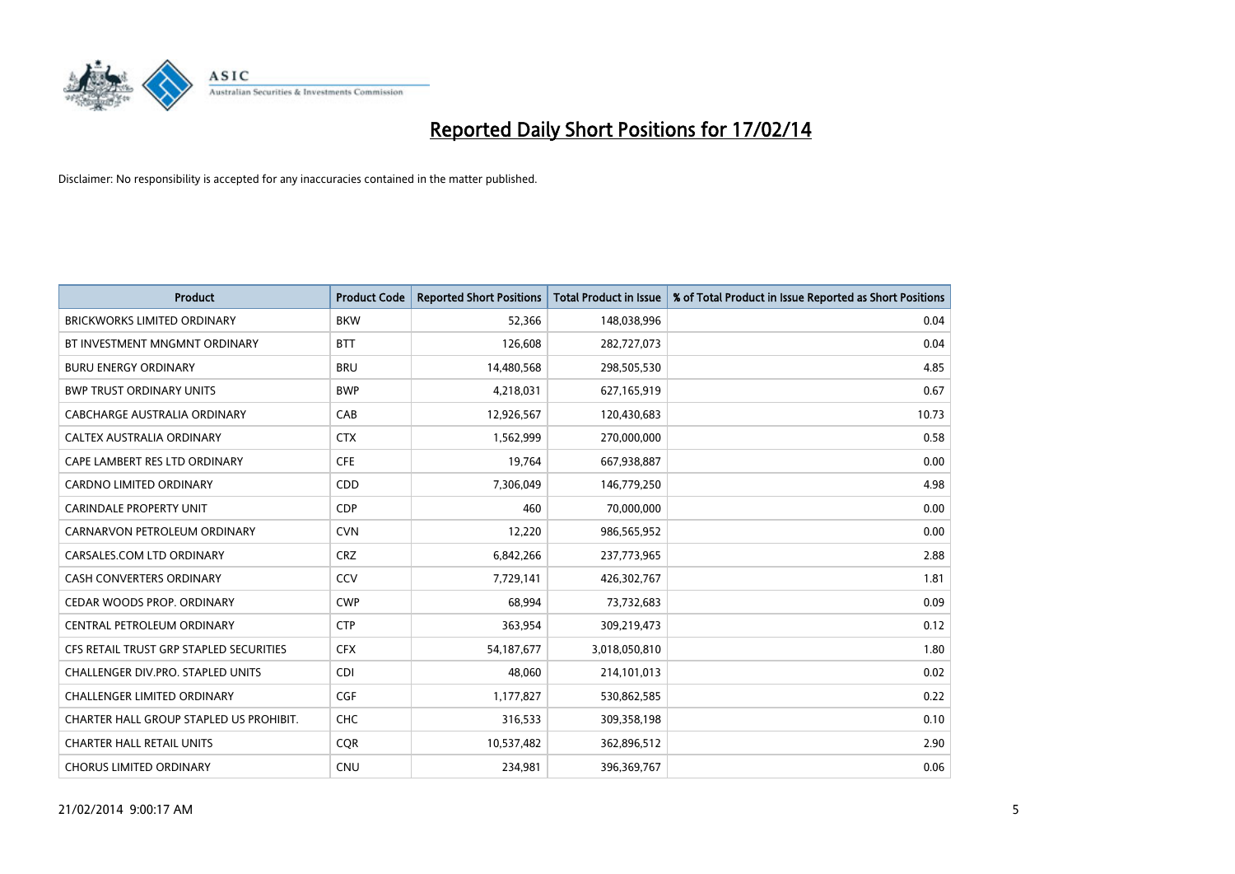

| <b>Product</b>                          | <b>Product Code</b> | <b>Reported Short Positions</b> | <b>Total Product in Issue</b> | % of Total Product in Issue Reported as Short Positions |
|-----------------------------------------|---------------------|---------------------------------|-------------------------------|---------------------------------------------------------|
| <b>BRICKWORKS LIMITED ORDINARY</b>      | <b>BKW</b>          | 52,366                          | 148,038,996                   | 0.04                                                    |
| BT INVESTMENT MNGMNT ORDINARY           | <b>BTT</b>          | 126,608                         | 282,727,073                   | 0.04                                                    |
| <b>BURU ENERGY ORDINARY</b>             | <b>BRU</b>          | 14,480,568                      | 298,505,530                   | 4.85                                                    |
| <b>BWP TRUST ORDINARY UNITS</b>         | <b>BWP</b>          | 4,218,031                       | 627,165,919                   | 0.67                                                    |
| CABCHARGE AUSTRALIA ORDINARY            | CAB                 | 12,926,567                      | 120,430,683                   | 10.73                                                   |
| CALTEX AUSTRALIA ORDINARY               | <b>CTX</b>          | 1,562,999                       | 270,000,000                   | 0.58                                                    |
| CAPE LAMBERT RES LTD ORDINARY           | <b>CFE</b>          | 19,764                          | 667,938,887                   | 0.00                                                    |
| CARDNO LIMITED ORDINARY                 | CDD                 | 7,306,049                       | 146,779,250                   | 4.98                                                    |
| <b>CARINDALE PROPERTY UNIT</b>          | <b>CDP</b>          | 460                             | 70,000,000                    | 0.00                                                    |
| CARNARVON PETROLEUM ORDINARY            | <b>CVN</b>          | 12,220                          | 986,565,952                   | 0.00                                                    |
| CARSALES.COM LTD ORDINARY               | <b>CRZ</b>          | 6,842,266                       | 237,773,965                   | 2.88                                                    |
| <b>CASH CONVERTERS ORDINARY</b>         | CCV                 | 7,729,141                       | 426,302,767                   | 1.81                                                    |
| CEDAR WOODS PROP. ORDINARY              | <b>CWP</b>          | 68,994                          | 73,732,683                    | 0.09                                                    |
| CENTRAL PETROLEUM ORDINARY              | <b>CTP</b>          | 363,954                         | 309,219,473                   | 0.12                                                    |
| CFS RETAIL TRUST GRP STAPLED SECURITIES | <b>CFX</b>          | 54, 187, 677                    | 3,018,050,810                 | 1.80                                                    |
| CHALLENGER DIV.PRO. STAPLED UNITS       | <b>CDI</b>          | 48,060                          | 214,101,013                   | 0.02                                                    |
| CHALLENGER LIMITED ORDINARY             | <b>CGF</b>          | 1,177,827                       | 530,862,585                   | 0.22                                                    |
| CHARTER HALL GROUP STAPLED US PROHIBIT. | <b>CHC</b>          | 316,533                         | 309,358,198                   | 0.10                                                    |
| <b>CHARTER HALL RETAIL UNITS</b>        | <b>COR</b>          | 10,537,482                      | 362,896,512                   | 2.90                                                    |
| <b>CHORUS LIMITED ORDINARY</b>          | <b>CNU</b>          | 234,981                         | 396,369,767                   | 0.06                                                    |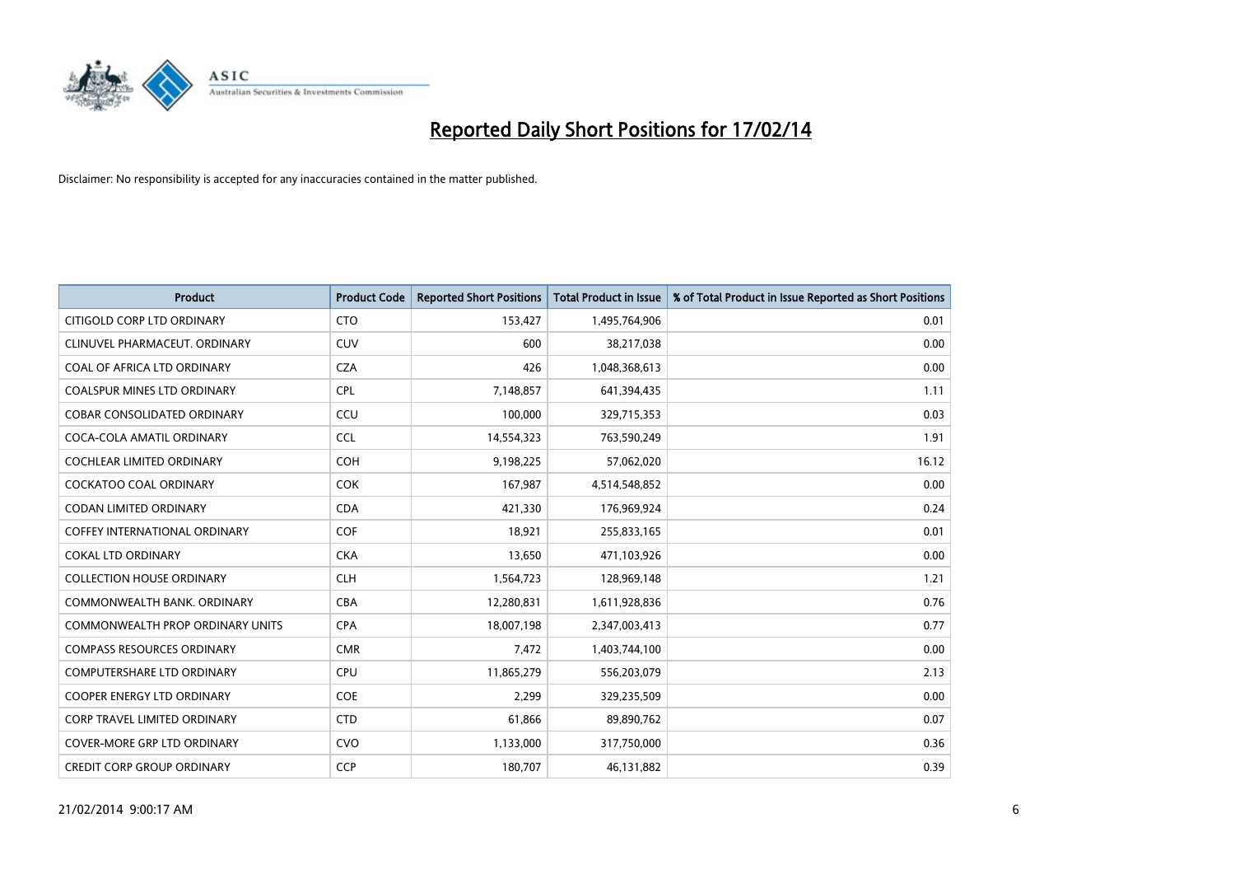

| <b>Product</b>                          | <b>Product Code</b> | <b>Reported Short Positions</b> | <b>Total Product in Issue</b> | % of Total Product in Issue Reported as Short Positions |
|-----------------------------------------|---------------------|---------------------------------|-------------------------------|---------------------------------------------------------|
| CITIGOLD CORP LTD ORDINARY              | <b>CTO</b>          | 153,427                         | 1,495,764,906                 | 0.01                                                    |
| CLINUVEL PHARMACEUT. ORDINARY           | <b>CUV</b>          | 600                             | 38,217,038                    | 0.00                                                    |
| COAL OF AFRICA LTD ORDINARY             | <b>CZA</b>          | 426                             | 1,048,368,613                 | 0.00                                                    |
| COALSPUR MINES LTD ORDINARY             | <b>CPL</b>          | 7,148,857                       | 641,394,435                   | 1.11                                                    |
| <b>COBAR CONSOLIDATED ORDINARY</b>      | CCU                 | 100,000                         | 329,715,353                   | 0.03                                                    |
| COCA-COLA AMATIL ORDINARY               | <b>CCL</b>          | 14,554,323                      | 763,590,249                   | 1.91                                                    |
| <b>COCHLEAR LIMITED ORDINARY</b>        | <b>COH</b>          | 9,198,225                       | 57,062,020                    | 16.12                                                   |
| COCKATOO COAL ORDINARY                  | <b>COK</b>          | 167,987                         | 4,514,548,852                 | 0.00                                                    |
| <b>CODAN LIMITED ORDINARY</b>           | <b>CDA</b>          | 421,330                         | 176,969,924                   | 0.24                                                    |
| <b>COFFEY INTERNATIONAL ORDINARY</b>    | <b>COF</b>          | 18,921                          | 255,833,165                   | 0.01                                                    |
| <b>COKAL LTD ORDINARY</b>               | <b>CKA</b>          | 13,650                          | 471,103,926                   | 0.00                                                    |
| <b>COLLECTION HOUSE ORDINARY</b>        | <b>CLH</b>          | 1,564,723                       | 128,969,148                   | 1.21                                                    |
| COMMONWEALTH BANK, ORDINARY             | <b>CBA</b>          | 12,280,831                      | 1,611,928,836                 | 0.76                                                    |
| <b>COMMONWEALTH PROP ORDINARY UNITS</b> | <b>CPA</b>          | 18,007,198                      | 2,347,003,413                 | 0.77                                                    |
| <b>COMPASS RESOURCES ORDINARY</b>       | <b>CMR</b>          | 7,472                           | 1,403,744,100                 | 0.00                                                    |
| COMPUTERSHARE LTD ORDINARY              | <b>CPU</b>          | 11,865,279                      | 556,203,079                   | 2.13                                                    |
| COOPER ENERGY LTD ORDINARY              | <b>COE</b>          | 2,299                           | 329,235,509                   | 0.00                                                    |
| <b>CORP TRAVEL LIMITED ORDINARY</b>     | <b>CTD</b>          | 61,866                          | 89,890,762                    | 0.07                                                    |
| <b>COVER-MORE GRP LTD ORDINARY</b>      | <b>CVO</b>          | 1,133,000                       | 317,750,000                   | 0.36                                                    |
| <b>CREDIT CORP GROUP ORDINARY</b>       | <b>CCP</b>          | 180,707                         | 46,131,882                    | 0.39                                                    |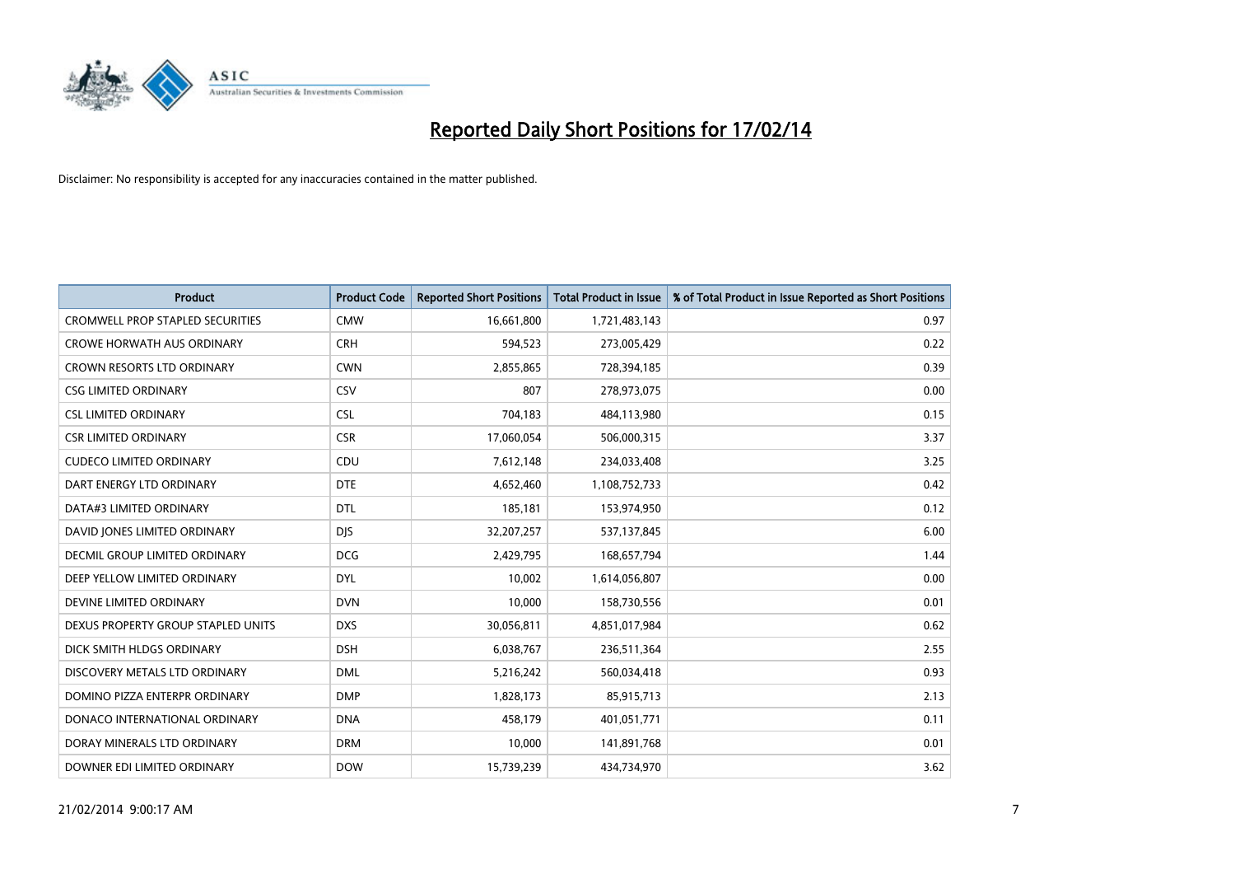

| <b>Product</b>                          | <b>Product Code</b> | <b>Reported Short Positions</b> | <b>Total Product in Issue</b> | % of Total Product in Issue Reported as Short Positions |
|-----------------------------------------|---------------------|---------------------------------|-------------------------------|---------------------------------------------------------|
| <b>CROMWELL PROP STAPLED SECURITIES</b> | <b>CMW</b>          | 16,661,800                      | 1,721,483,143                 | 0.97                                                    |
| <b>CROWE HORWATH AUS ORDINARY</b>       | <b>CRH</b>          | 594,523                         | 273,005,429                   | 0.22                                                    |
| <b>CROWN RESORTS LTD ORDINARY</b>       | <b>CWN</b>          | 2,855,865                       | 728,394,185                   | 0.39                                                    |
| <b>CSG LIMITED ORDINARY</b>             | <b>CSV</b>          | 807                             | 278,973,075                   | 0.00                                                    |
| <b>CSL LIMITED ORDINARY</b>             | <b>CSL</b>          | 704,183                         | 484,113,980                   | 0.15                                                    |
| <b>CSR LIMITED ORDINARY</b>             | <b>CSR</b>          | 17,060,054                      | 506,000,315                   | 3.37                                                    |
| <b>CUDECO LIMITED ORDINARY</b>          | CDU                 | 7,612,148                       | 234,033,408                   | 3.25                                                    |
| DART ENERGY LTD ORDINARY                | <b>DTE</b>          | 4,652,460                       | 1,108,752,733                 | 0.42                                                    |
| DATA#3 LIMITED ORDINARY                 | <b>DTL</b>          | 185,181                         | 153,974,950                   | 0.12                                                    |
| DAVID JONES LIMITED ORDINARY            | <b>DJS</b>          | 32,207,257                      | 537,137,845                   | 6.00                                                    |
| <b>DECMIL GROUP LIMITED ORDINARY</b>    | <b>DCG</b>          | 2,429,795                       | 168,657,794                   | 1.44                                                    |
| DEEP YELLOW LIMITED ORDINARY            | <b>DYL</b>          | 10,002                          | 1,614,056,807                 | 0.00                                                    |
| DEVINE LIMITED ORDINARY                 | <b>DVN</b>          | 10,000                          | 158,730,556                   | 0.01                                                    |
| DEXUS PROPERTY GROUP STAPLED UNITS      | <b>DXS</b>          | 30,056,811                      | 4,851,017,984                 | 0.62                                                    |
| DICK SMITH HLDGS ORDINARY               | <b>DSH</b>          | 6,038,767                       | 236,511,364                   | 2.55                                                    |
| DISCOVERY METALS LTD ORDINARY           | <b>DML</b>          | 5,216,242                       | 560,034,418                   | 0.93                                                    |
| DOMINO PIZZA ENTERPR ORDINARY           | <b>DMP</b>          | 1,828,173                       | 85,915,713                    | 2.13                                                    |
| DONACO INTERNATIONAL ORDINARY           | <b>DNA</b>          | 458,179                         | 401,051,771                   | 0.11                                                    |
| DORAY MINERALS LTD ORDINARY             | <b>DRM</b>          | 10,000                          | 141,891,768                   | 0.01                                                    |
| DOWNER EDI LIMITED ORDINARY             | <b>DOW</b>          | 15,739,239                      | 434,734,970                   | 3.62                                                    |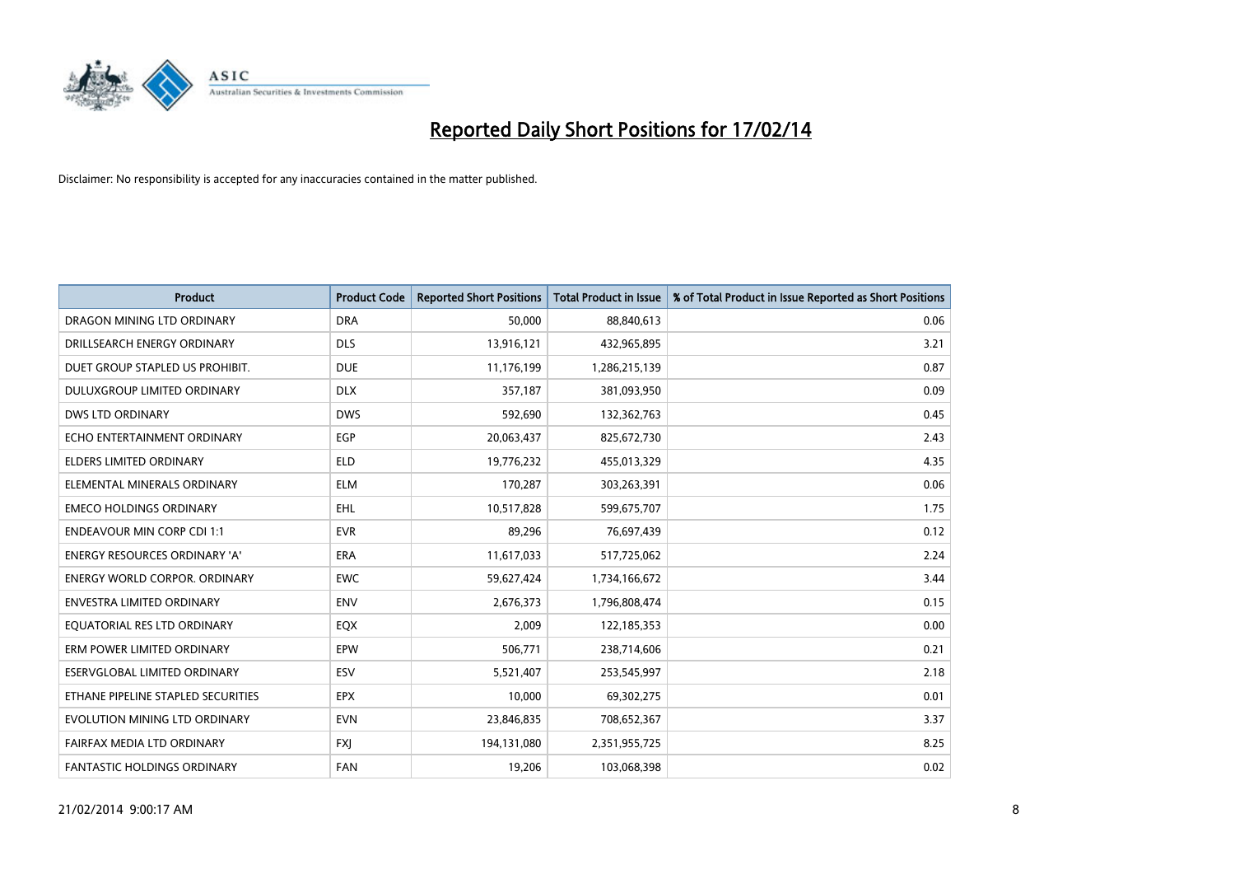

| <b>Product</b>                       | <b>Product Code</b> | <b>Reported Short Positions</b> | <b>Total Product in Issue</b> | % of Total Product in Issue Reported as Short Positions |
|--------------------------------------|---------------------|---------------------------------|-------------------------------|---------------------------------------------------------|
| DRAGON MINING LTD ORDINARY           | <b>DRA</b>          | 50,000                          | 88,840,613                    | 0.06                                                    |
| DRILLSEARCH ENERGY ORDINARY          | <b>DLS</b>          | 13,916,121                      | 432,965,895                   | 3.21                                                    |
| DUET GROUP STAPLED US PROHIBIT.      | <b>DUE</b>          | 11,176,199                      | 1,286,215,139                 | 0.87                                                    |
| DULUXGROUP LIMITED ORDINARY          | <b>DLX</b>          | 357,187                         | 381,093,950                   | 0.09                                                    |
| <b>DWS LTD ORDINARY</b>              | <b>DWS</b>          | 592,690                         | 132,362,763                   | 0.45                                                    |
| ECHO ENTERTAINMENT ORDINARY          | EGP                 | 20,063,437                      | 825,672,730                   | 2.43                                                    |
| <b>ELDERS LIMITED ORDINARY</b>       | <b>ELD</b>          | 19,776,232                      | 455,013,329                   | 4.35                                                    |
| ELEMENTAL MINERALS ORDINARY          | <b>ELM</b>          | 170,287                         | 303,263,391                   | 0.06                                                    |
| <b>EMECO HOLDINGS ORDINARY</b>       | <b>EHL</b>          | 10,517,828                      | 599,675,707                   | 1.75                                                    |
| <b>ENDEAVOUR MIN CORP CDI 1:1</b>    | <b>EVR</b>          | 89,296                          | 76,697,439                    | 0.12                                                    |
| ENERGY RESOURCES ORDINARY 'A'        | <b>ERA</b>          | 11,617,033                      | 517,725,062                   | 2.24                                                    |
| <b>ENERGY WORLD CORPOR, ORDINARY</b> | <b>EWC</b>          | 59,627,424                      | 1,734,166,672                 | 3.44                                                    |
| <b>ENVESTRA LIMITED ORDINARY</b>     | <b>ENV</b>          | 2,676,373                       | 1,796,808,474                 | 0.15                                                    |
| EQUATORIAL RES LTD ORDINARY          | EQX                 | 2,009                           | 122,185,353                   | 0.00                                                    |
| ERM POWER LIMITED ORDINARY           | EPW                 | 506,771                         | 238,714,606                   | 0.21                                                    |
| ESERVGLOBAL LIMITED ORDINARY         | ESV                 | 5,521,407                       | 253,545,997                   | 2.18                                                    |
| ETHANE PIPELINE STAPLED SECURITIES   | <b>EPX</b>          | 10,000                          | 69,302,275                    | 0.01                                                    |
| EVOLUTION MINING LTD ORDINARY        | <b>EVN</b>          | 23,846,835                      | 708,652,367                   | 3.37                                                    |
| FAIRFAX MEDIA LTD ORDINARY           | <b>FXI</b>          | 194,131,080                     | 2,351,955,725                 | 8.25                                                    |
| FANTASTIC HOLDINGS ORDINARY          | <b>FAN</b>          | 19,206                          | 103,068,398                   | 0.02                                                    |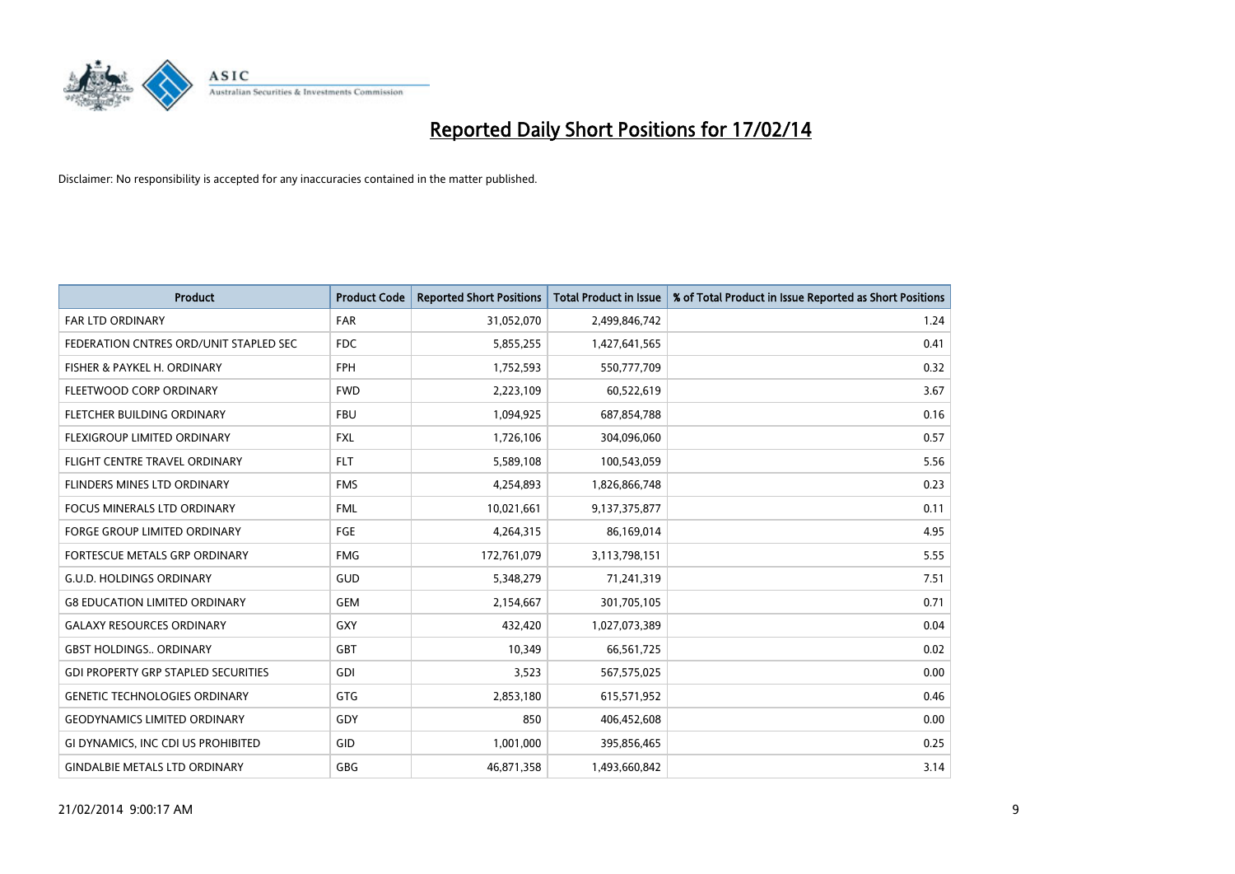

| <b>Product</b>                             | <b>Product Code</b> | <b>Reported Short Positions</b> | <b>Total Product in Issue</b> | % of Total Product in Issue Reported as Short Positions |
|--------------------------------------------|---------------------|---------------------------------|-------------------------------|---------------------------------------------------------|
| <b>FAR LTD ORDINARY</b>                    | <b>FAR</b>          | 31,052,070                      | 2,499,846,742                 | 1.24                                                    |
| FEDERATION CNTRES ORD/UNIT STAPLED SEC     | FDC                 | 5,855,255                       | 1,427,641,565                 | 0.41                                                    |
| FISHER & PAYKEL H. ORDINARY                | <b>FPH</b>          | 1,752,593                       | 550,777,709                   | 0.32                                                    |
| FLEETWOOD CORP ORDINARY                    | <b>FWD</b>          | 2,223,109                       | 60,522,619                    | 3.67                                                    |
| FLETCHER BUILDING ORDINARY                 | <b>FBU</b>          | 1,094,925                       | 687,854,788                   | 0.16                                                    |
| FLEXIGROUP LIMITED ORDINARY                | <b>FXL</b>          | 1,726,106                       | 304,096,060                   | 0.57                                                    |
| FLIGHT CENTRE TRAVEL ORDINARY              | <b>FLT</b>          | 5,589,108                       | 100,543,059                   | 5.56                                                    |
| FLINDERS MINES LTD ORDINARY                | <b>FMS</b>          | 4,254,893                       | 1,826,866,748                 | 0.23                                                    |
| <b>FOCUS MINERALS LTD ORDINARY</b>         | <b>FML</b>          | 10,021,661                      | 9,137,375,877                 | 0.11                                                    |
| FORGE GROUP LIMITED ORDINARY               | FGE                 | 4,264,315                       | 86,169,014                    | 4.95                                                    |
| FORTESCUE METALS GRP ORDINARY              | <b>FMG</b>          | 172,761,079                     | 3,113,798,151                 | 5.55                                                    |
| <b>G.U.D. HOLDINGS ORDINARY</b>            | <b>GUD</b>          | 5,348,279                       | 71,241,319                    | 7.51                                                    |
| <b>G8 EDUCATION LIMITED ORDINARY</b>       | <b>GEM</b>          | 2,154,667                       | 301,705,105                   | 0.71                                                    |
| <b>GALAXY RESOURCES ORDINARY</b>           | GXY                 | 432,420                         | 1,027,073,389                 | 0.04                                                    |
| <b>GBST HOLDINGS ORDINARY</b>              | GBT                 | 10,349                          | 66,561,725                    | 0.02                                                    |
| <b>GDI PROPERTY GRP STAPLED SECURITIES</b> | GDI                 | 3,523                           | 567,575,025                   | 0.00                                                    |
| <b>GENETIC TECHNOLOGIES ORDINARY</b>       | GTG                 | 2,853,180                       | 615,571,952                   | 0.46                                                    |
| <b>GEODYNAMICS LIMITED ORDINARY</b>        | GDY                 | 850                             | 406,452,608                   | 0.00                                                    |
| GI DYNAMICS, INC CDI US PROHIBITED         | GID                 | 1,001,000                       | 395,856,465                   | 0.25                                                    |
| <b>GINDALBIE METALS LTD ORDINARY</b>       | GBG                 | 46,871,358                      | 1,493,660,842                 | 3.14                                                    |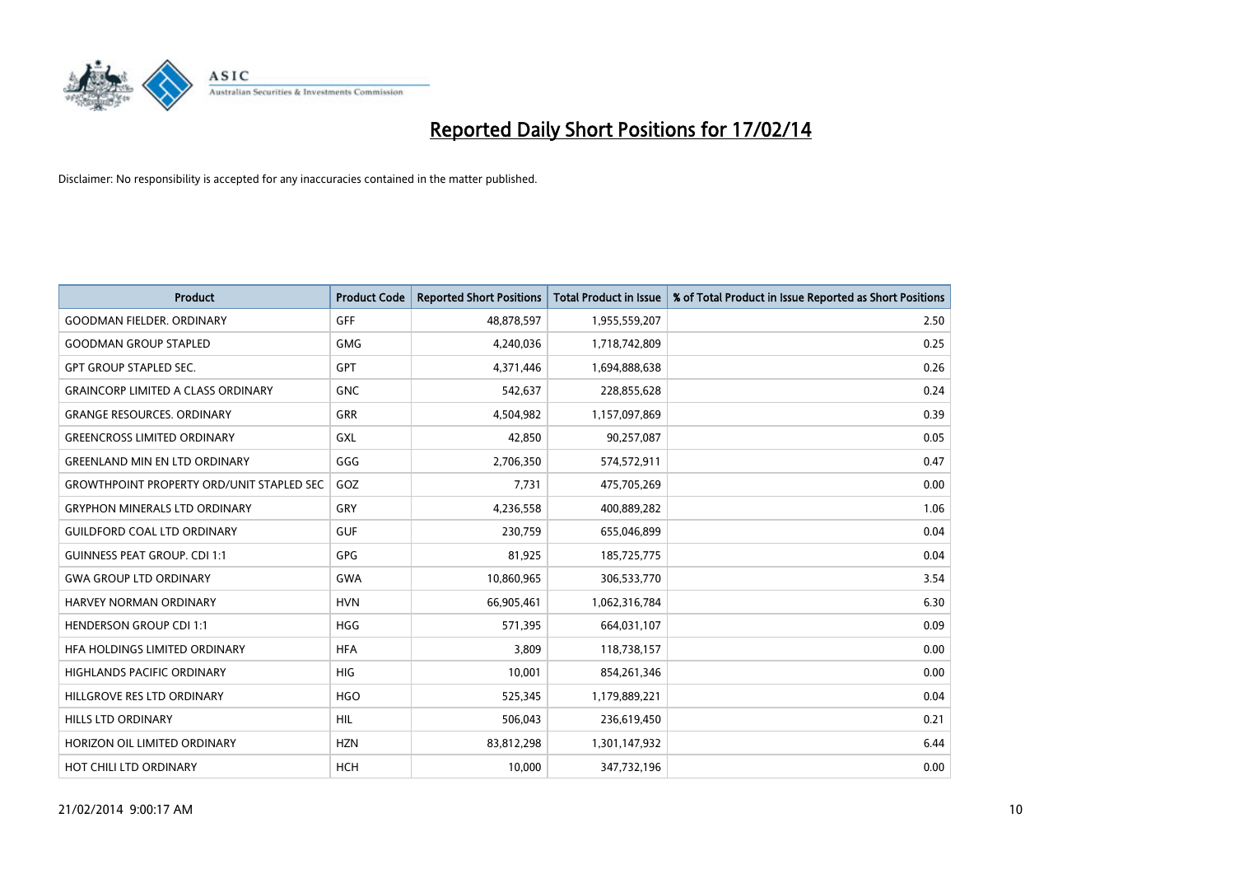

| <b>Product</b>                                   | <b>Product Code</b> | <b>Reported Short Positions</b> | <b>Total Product in Issue</b> | % of Total Product in Issue Reported as Short Positions |
|--------------------------------------------------|---------------------|---------------------------------|-------------------------------|---------------------------------------------------------|
| <b>GOODMAN FIELDER, ORDINARY</b>                 | GFF                 | 48,878,597                      | 1,955,559,207                 | 2.50                                                    |
| <b>GOODMAN GROUP STAPLED</b>                     | <b>GMG</b>          | 4,240,036                       | 1,718,742,809                 | 0.25                                                    |
| <b>GPT GROUP STAPLED SEC.</b>                    | GPT                 | 4,371,446                       | 1,694,888,638                 | 0.26                                                    |
| <b>GRAINCORP LIMITED A CLASS ORDINARY</b>        | <b>GNC</b>          | 542,637                         | 228,855,628                   | 0.24                                                    |
| <b>GRANGE RESOURCES, ORDINARY</b>                | <b>GRR</b>          | 4,504,982                       | 1,157,097,869                 | 0.39                                                    |
| <b>GREENCROSS LIMITED ORDINARY</b>               | <b>GXL</b>          | 42,850                          | 90,257,087                    | 0.05                                                    |
| <b>GREENLAND MIN EN LTD ORDINARY</b>             | GGG                 | 2,706,350                       | 574,572,911                   | 0.47                                                    |
| <b>GROWTHPOINT PROPERTY ORD/UNIT STAPLED SEC</b> | GOZ                 | 7,731                           | 475,705,269                   | 0.00                                                    |
| <b>GRYPHON MINERALS LTD ORDINARY</b>             | GRY                 | 4,236,558                       | 400,889,282                   | 1.06                                                    |
| <b>GUILDFORD COAL LTD ORDINARY</b>               | <b>GUF</b>          | 230,759                         | 655,046,899                   | 0.04                                                    |
| <b>GUINNESS PEAT GROUP. CDI 1:1</b>              | <b>GPG</b>          | 81,925                          | 185,725,775                   | 0.04                                                    |
| <b>GWA GROUP LTD ORDINARY</b>                    | GWA                 | 10,860,965                      | 306,533,770                   | 3.54                                                    |
| HARVEY NORMAN ORDINARY                           | <b>HVN</b>          | 66,905,461                      | 1,062,316,784                 | 6.30                                                    |
| <b>HENDERSON GROUP CDI 1:1</b>                   | <b>HGG</b>          | 571,395                         | 664,031,107                   | 0.09                                                    |
| HFA HOLDINGS LIMITED ORDINARY                    | <b>HFA</b>          | 3,809                           | 118,738,157                   | 0.00                                                    |
| <b>HIGHLANDS PACIFIC ORDINARY</b>                | <b>HIG</b>          | 10,001                          | 854,261,346                   | 0.00                                                    |
| HILLGROVE RES LTD ORDINARY                       | <b>HGO</b>          | 525,345                         | 1,179,889,221                 | 0.04                                                    |
| HILLS LTD ORDINARY                               | <b>HIL</b>          | 506,043                         | 236,619,450                   | 0.21                                                    |
| HORIZON OIL LIMITED ORDINARY                     | <b>HZN</b>          | 83,812,298                      | 1,301,147,932                 | 6.44                                                    |
| HOT CHILI LTD ORDINARY                           | <b>HCH</b>          | 10,000                          | 347,732,196                   | 0.00                                                    |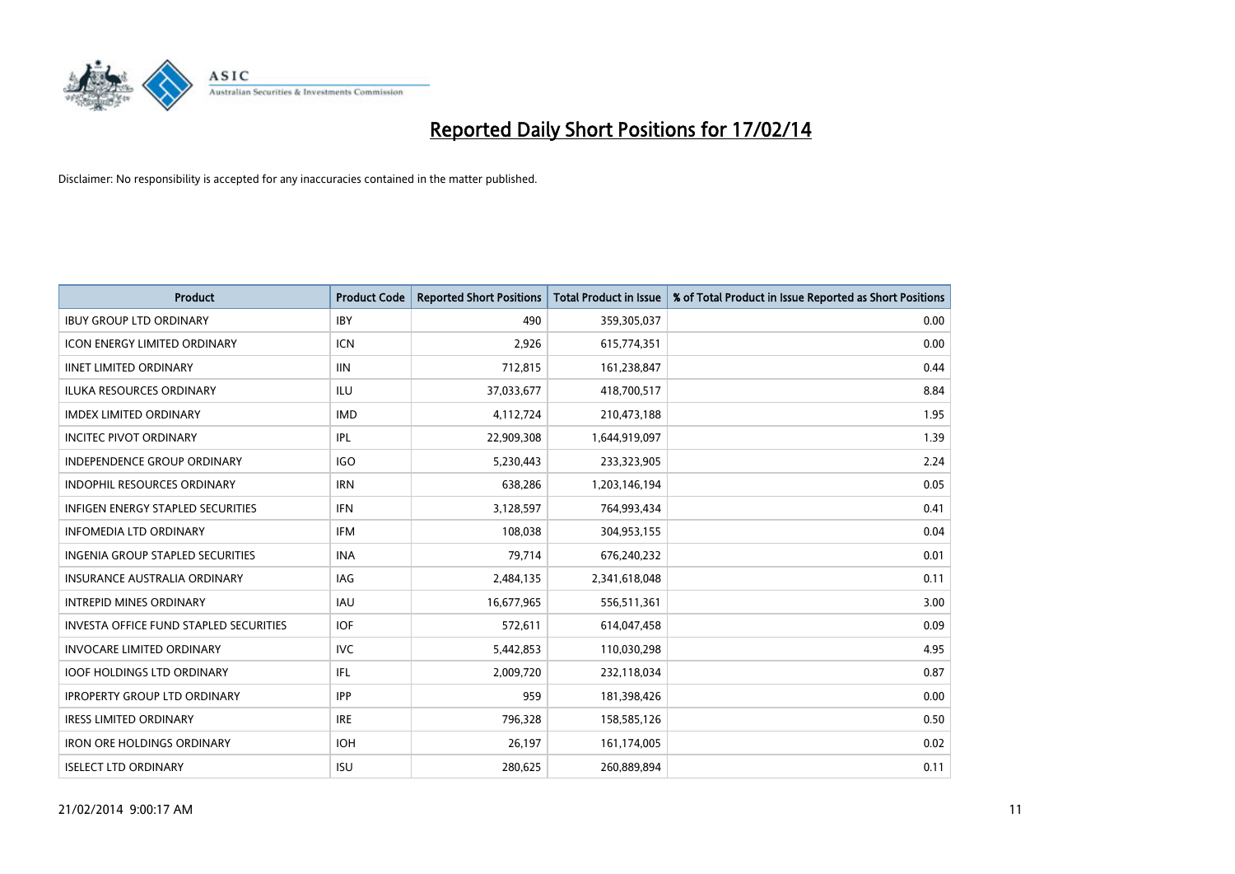

| <b>Product</b>                                | <b>Product Code</b> | <b>Reported Short Positions</b> | <b>Total Product in Issue</b> | % of Total Product in Issue Reported as Short Positions |
|-----------------------------------------------|---------------------|---------------------------------|-------------------------------|---------------------------------------------------------|
| <b>IBUY GROUP LTD ORDINARY</b>                | <b>IBY</b>          | 490                             | 359,305,037                   | 0.00                                                    |
| <b>ICON ENERGY LIMITED ORDINARY</b>           | ICN                 | 2,926                           | 615,774,351                   | 0.00                                                    |
| <b>IINET LIMITED ORDINARY</b>                 | <b>IIN</b>          | 712,815                         | 161,238,847                   | 0.44                                                    |
| ILUKA RESOURCES ORDINARY                      | ILU                 | 37,033,677                      | 418,700,517                   | 8.84                                                    |
| <b>IMDEX LIMITED ORDINARY</b>                 | <b>IMD</b>          | 4,112,724                       | 210,473,188                   | 1.95                                                    |
| <b>INCITEC PIVOT ORDINARY</b>                 | IPL                 | 22,909,308                      | 1,644,919,097                 | 1.39                                                    |
| INDEPENDENCE GROUP ORDINARY                   | <b>IGO</b>          | 5,230,443                       | 233,323,905                   | 2.24                                                    |
| <b>INDOPHIL RESOURCES ORDINARY</b>            | <b>IRN</b>          | 638,286                         | 1,203,146,194                 | 0.05                                                    |
| <b>INFIGEN ENERGY STAPLED SECURITIES</b>      | <b>IFN</b>          | 3,128,597                       | 764,993,434                   | 0.41                                                    |
| <b>INFOMEDIA LTD ORDINARY</b>                 | IFM                 | 108,038                         | 304,953,155                   | 0.04                                                    |
| <b>INGENIA GROUP STAPLED SECURITIES</b>       | <b>INA</b>          | 79,714                          | 676,240,232                   | 0.01                                                    |
| <b>INSURANCE AUSTRALIA ORDINARY</b>           | IAG                 | 2,484,135                       | 2,341,618,048                 | 0.11                                                    |
| <b>INTREPID MINES ORDINARY</b>                | <b>IAU</b>          | 16,677,965                      | 556,511,361                   | 3.00                                                    |
| <b>INVESTA OFFICE FUND STAPLED SECURITIES</b> | <b>IOF</b>          | 572,611                         | 614,047,458                   | 0.09                                                    |
| INVOCARE LIMITED ORDINARY                     | <b>IVC</b>          | 5,442,853                       | 110,030,298                   | 4.95                                                    |
| <b>IOOF HOLDINGS LTD ORDINARY</b>             | IFL                 | 2,009,720                       | 232,118,034                   | 0.87                                                    |
| <b>IPROPERTY GROUP LTD ORDINARY</b>           | <b>IPP</b>          | 959                             | 181,398,426                   | 0.00                                                    |
| <b>IRESS LIMITED ORDINARY</b>                 | <b>IRE</b>          | 796,328                         | 158,585,126                   | 0.50                                                    |
| <b>IRON ORE HOLDINGS ORDINARY</b>             | <b>IOH</b>          | 26,197                          | 161,174,005                   | 0.02                                                    |
| <b>ISELECT LTD ORDINARY</b>                   | <b>ISU</b>          | 280,625                         | 260,889,894                   | 0.11                                                    |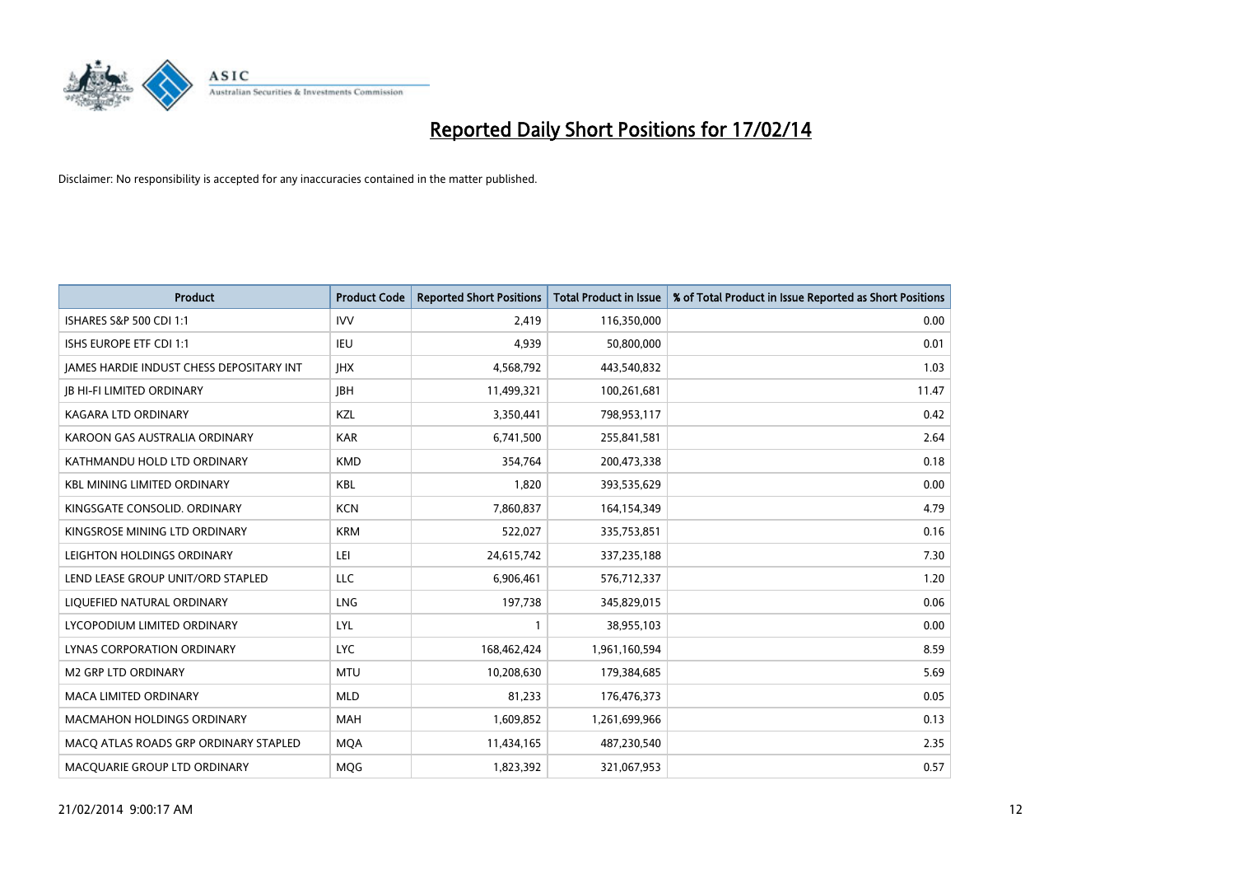

| <b>Product</b>                           | <b>Product Code</b> | <b>Reported Short Positions</b> | <b>Total Product in Issue</b> | % of Total Product in Issue Reported as Short Positions |
|------------------------------------------|---------------------|---------------------------------|-------------------------------|---------------------------------------------------------|
| ISHARES S&P 500 CDI 1:1                  | <b>IVV</b>          | 2,419                           | 116,350,000                   | 0.00                                                    |
| ISHS EUROPE ETF CDI 1:1                  | IEU                 | 4,939                           | 50,800,000                    | 0.01                                                    |
| JAMES HARDIE INDUST CHESS DEPOSITARY INT | <b>IHX</b>          | 4,568,792                       | 443,540,832                   | 1.03                                                    |
| <b>JB HI-FI LIMITED ORDINARY</b>         | <b>JBH</b>          | 11,499,321                      | 100,261,681                   | 11.47                                                   |
| <b>KAGARA LTD ORDINARY</b>               | KZL                 | 3,350,441                       | 798,953,117                   | 0.42                                                    |
| KAROON GAS AUSTRALIA ORDINARY            | <b>KAR</b>          | 6,741,500                       | 255,841,581                   | 2.64                                                    |
| KATHMANDU HOLD LTD ORDINARY              | <b>KMD</b>          | 354,764                         | 200,473,338                   | 0.18                                                    |
| <b>KBL MINING LIMITED ORDINARY</b>       | <b>KBL</b>          | 1,820                           | 393,535,629                   | 0.00                                                    |
| KINGSGATE CONSOLID. ORDINARY             | <b>KCN</b>          | 7,860,837                       | 164,154,349                   | 4.79                                                    |
| KINGSROSE MINING LTD ORDINARY            | <b>KRM</b>          | 522,027                         | 335,753,851                   | 0.16                                                    |
| LEIGHTON HOLDINGS ORDINARY               | LEI                 | 24,615,742                      | 337,235,188                   | 7.30                                                    |
| LEND LEASE GROUP UNIT/ORD STAPLED        | LLC                 | 6,906,461                       | 576,712,337                   | 1.20                                                    |
| LIQUEFIED NATURAL ORDINARY               | LNG                 | 197,738                         | 345,829,015                   | 0.06                                                    |
| LYCOPODIUM LIMITED ORDINARY              | LYL                 | 1                               | 38,955,103                    | 0.00                                                    |
| LYNAS CORPORATION ORDINARY               | <b>LYC</b>          | 168,462,424                     | 1,961,160,594                 | 8.59                                                    |
| M2 GRP LTD ORDINARY                      | <b>MTU</b>          | 10,208,630                      | 179,384,685                   | 5.69                                                    |
| MACA LIMITED ORDINARY                    | <b>MLD</b>          | 81,233                          | 176,476,373                   | 0.05                                                    |
| MACMAHON HOLDINGS ORDINARY               | <b>MAH</b>          | 1,609,852                       | 1,261,699,966                 | 0.13                                                    |
| MACO ATLAS ROADS GRP ORDINARY STAPLED    | <b>MOA</b>          | 11,434,165                      | 487,230,540                   | 2.35                                                    |
| MACQUARIE GROUP LTD ORDINARY             | <b>MOG</b>          | 1,823,392                       | 321,067,953                   | 0.57                                                    |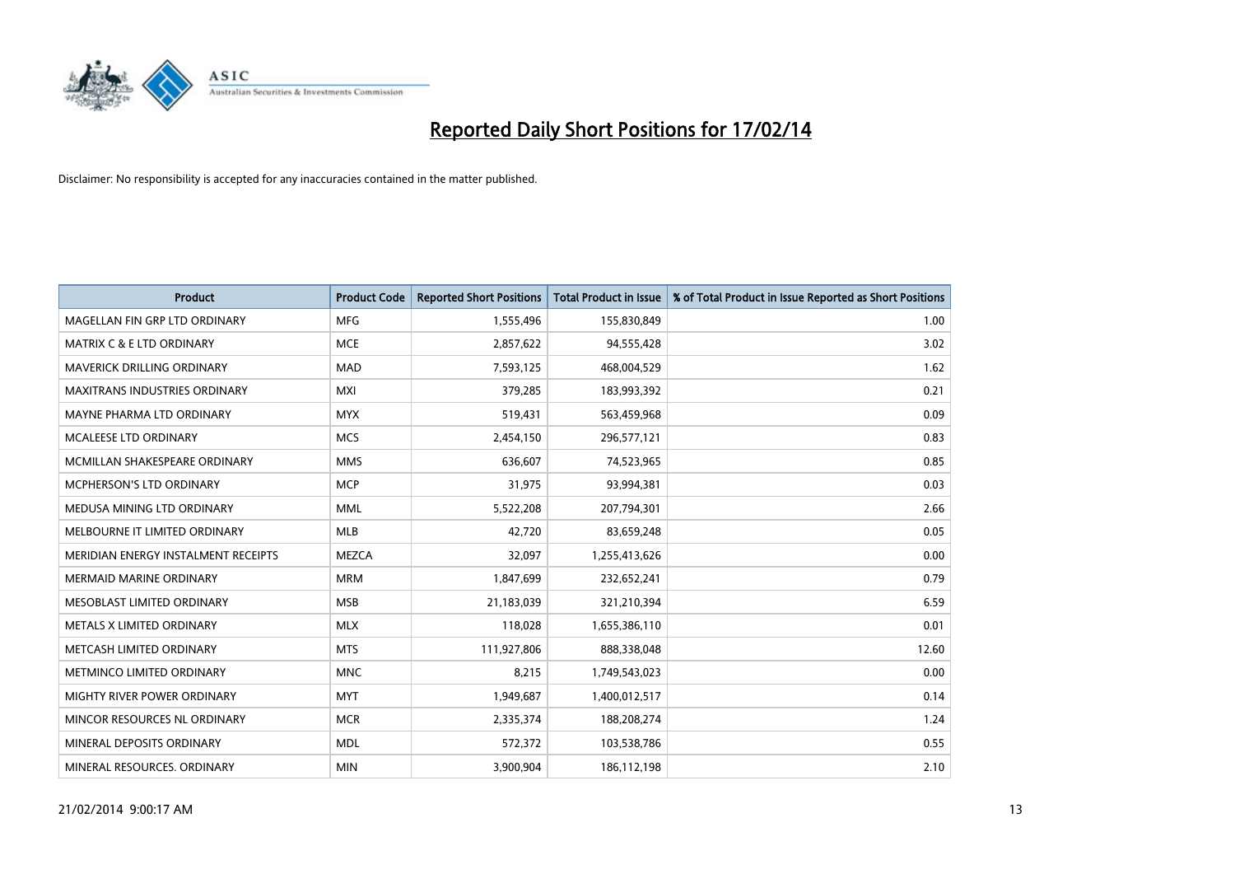

| <b>Product</b>                       | <b>Product Code</b> | <b>Reported Short Positions</b> | <b>Total Product in Issue</b> | % of Total Product in Issue Reported as Short Positions |
|--------------------------------------|---------------------|---------------------------------|-------------------------------|---------------------------------------------------------|
| MAGELLAN FIN GRP LTD ORDINARY        | <b>MFG</b>          | 1,555,496                       | 155,830,849                   | 1.00                                                    |
| <b>MATRIX C &amp; E LTD ORDINARY</b> | <b>MCE</b>          | 2,857,622                       | 94,555,428                    | 3.02                                                    |
| <b>MAVERICK DRILLING ORDINARY</b>    | <b>MAD</b>          | 7,593,125                       | 468,004,529                   | 1.62                                                    |
| MAXITRANS INDUSTRIES ORDINARY        | <b>MXI</b>          | 379,285                         | 183,993,392                   | 0.21                                                    |
| MAYNE PHARMA LTD ORDINARY            | <b>MYX</b>          | 519,431                         | 563,459,968                   | 0.09                                                    |
| <b>MCALEESE LTD ORDINARY</b>         | <b>MCS</b>          | 2,454,150                       | 296,577,121                   | 0.83                                                    |
| MCMILLAN SHAKESPEARE ORDINARY        | <b>MMS</b>          | 636,607                         | 74,523,965                    | 0.85                                                    |
| MCPHERSON'S LTD ORDINARY             | <b>MCP</b>          | 31,975                          | 93,994,381                    | 0.03                                                    |
| MEDUSA MINING LTD ORDINARY           | <b>MML</b>          | 5,522,208                       | 207,794,301                   | 2.66                                                    |
| MELBOURNE IT LIMITED ORDINARY        | <b>MLB</b>          | 42,720                          | 83,659,248                    | 0.05                                                    |
| MERIDIAN ENERGY INSTALMENT RECEIPTS  | <b>MEZCA</b>        | 32,097                          | 1,255,413,626                 | 0.00                                                    |
| <b>MERMAID MARINE ORDINARY</b>       | <b>MRM</b>          | 1,847,699                       | 232,652,241                   | 0.79                                                    |
| MESOBLAST LIMITED ORDINARY           | <b>MSB</b>          | 21,183,039                      | 321,210,394                   | 6.59                                                    |
| METALS X LIMITED ORDINARY            | <b>MLX</b>          | 118,028                         | 1,655,386,110                 | 0.01                                                    |
| METCASH LIMITED ORDINARY             | <b>MTS</b>          | 111,927,806                     | 888,338,048                   | 12.60                                                   |
| METMINCO LIMITED ORDINARY            | <b>MNC</b>          | 8,215                           | 1,749,543,023                 | 0.00                                                    |
| MIGHTY RIVER POWER ORDINARY          | <b>MYT</b>          | 1,949,687                       | 1,400,012,517                 | 0.14                                                    |
| MINCOR RESOURCES NL ORDINARY         | <b>MCR</b>          | 2,335,374                       | 188,208,274                   | 1.24                                                    |
| MINERAL DEPOSITS ORDINARY            | <b>MDL</b>          | 572,372                         | 103,538,786                   | 0.55                                                    |
| MINERAL RESOURCES. ORDINARY          | <b>MIN</b>          | 3,900,904                       | 186,112,198                   | 2.10                                                    |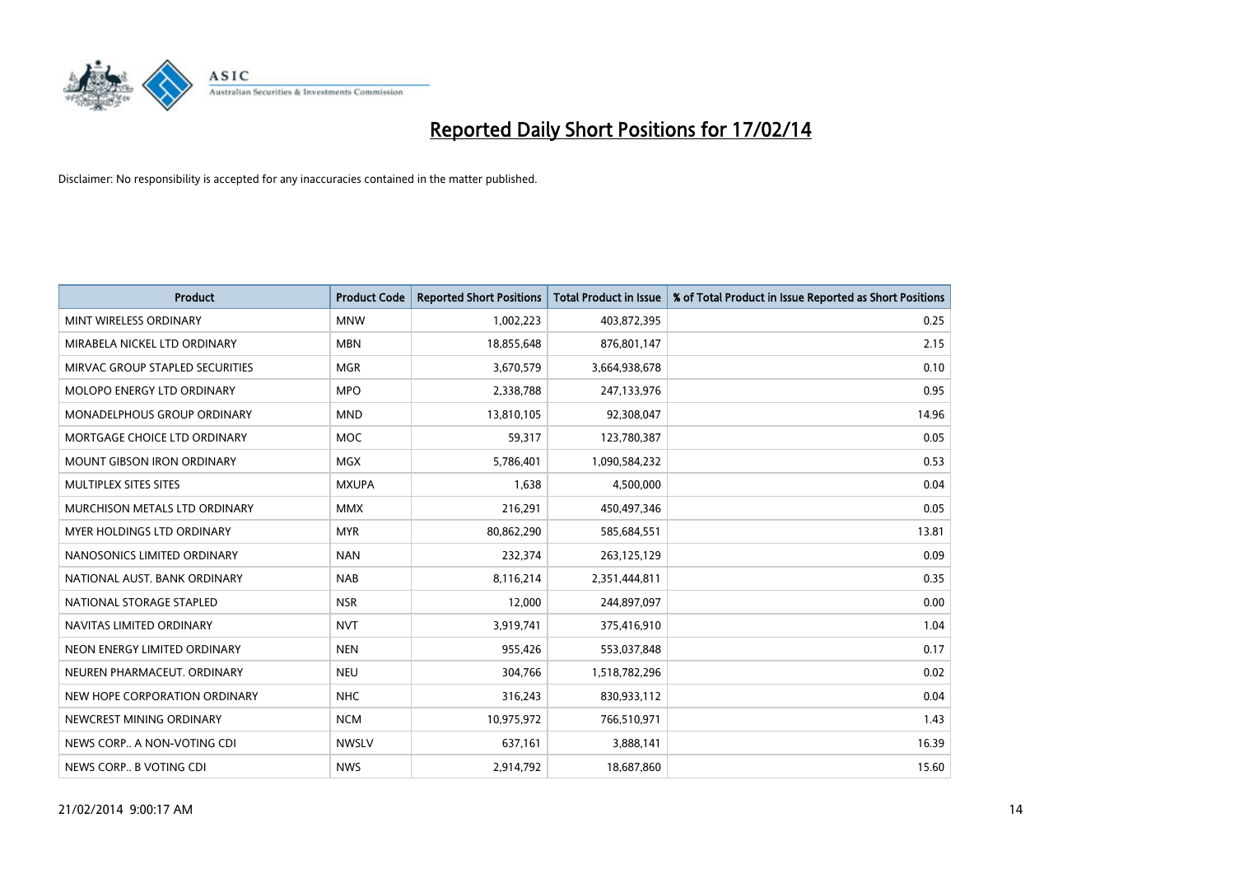

| <b>Product</b>                    | <b>Product Code</b> | <b>Reported Short Positions</b> | <b>Total Product in Issue</b> | % of Total Product in Issue Reported as Short Positions |
|-----------------------------------|---------------------|---------------------------------|-------------------------------|---------------------------------------------------------|
| MINT WIRELESS ORDINARY            | <b>MNW</b>          | 1,002,223                       | 403,872,395                   | 0.25                                                    |
| MIRABELA NICKEL LTD ORDINARY      | <b>MBN</b>          | 18,855,648                      | 876,801,147                   | 2.15                                                    |
| MIRVAC GROUP STAPLED SECURITIES   | <b>MGR</b>          | 3,670,579                       | 3,664,938,678                 | 0.10                                                    |
| MOLOPO ENERGY LTD ORDINARY        | <b>MPO</b>          | 2,338,788                       | 247,133,976                   | 0.95                                                    |
| MONADELPHOUS GROUP ORDINARY       | <b>MND</b>          | 13,810,105                      | 92,308,047                    | 14.96                                                   |
| MORTGAGE CHOICE LTD ORDINARY      | <b>MOC</b>          | 59,317                          | 123,780,387                   | 0.05                                                    |
| <b>MOUNT GIBSON IRON ORDINARY</b> | <b>MGX</b>          | 5,786,401                       | 1,090,584,232                 | 0.53                                                    |
| MULTIPLEX SITES SITES             | <b>MXUPA</b>        | 1,638                           | 4,500,000                     | 0.04                                                    |
| MURCHISON METALS LTD ORDINARY     | <b>MMX</b>          | 216,291                         | 450,497,346                   | 0.05                                                    |
| MYER HOLDINGS LTD ORDINARY        | <b>MYR</b>          | 80,862,290                      | 585,684,551                   | 13.81                                                   |
| NANOSONICS LIMITED ORDINARY       | <b>NAN</b>          | 232,374                         | 263,125,129                   | 0.09                                                    |
| NATIONAL AUST, BANK ORDINARY      | <b>NAB</b>          | 8,116,214                       | 2,351,444,811                 | 0.35                                                    |
| NATIONAL STORAGE STAPLED          | <b>NSR</b>          | 12,000                          | 244,897,097                   | 0.00                                                    |
| NAVITAS LIMITED ORDINARY          | <b>NVT</b>          | 3,919,741                       | 375,416,910                   | 1.04                                                    |
| NEON ENERGY LIMITED ORDINARY      | <b>NEN</b>          | 955,426                         | 553,037,848                   | 0.17                                                    |
| NEUREN PHARMACEUT. ORDINARY       | <b>NEU</b>          | 304,766                         | 1,518,782,296                 | 0.02                                                    |
| NEW HOPE CORPORATION ORDINARY     | <b>NHC</b>          | 316,243                         | 830,933,112                   | 0.04                                                    |
| NEWCREST MINING ORDINARY          | <b>NCM</b>          | 10,975,972                      | 766,510,971                   | 1.43                                                    |
| NEWS CORP A NON-VOTING CDI        | <b>NWSLV</b>        | 637,161                         | 3,888,141                     | 16.39                                                   |
| NEWS CORP B VOTING CDI            | <b>NWS</b>          | 2,914,792                       | 18,687,860                    | 15.60                                                   |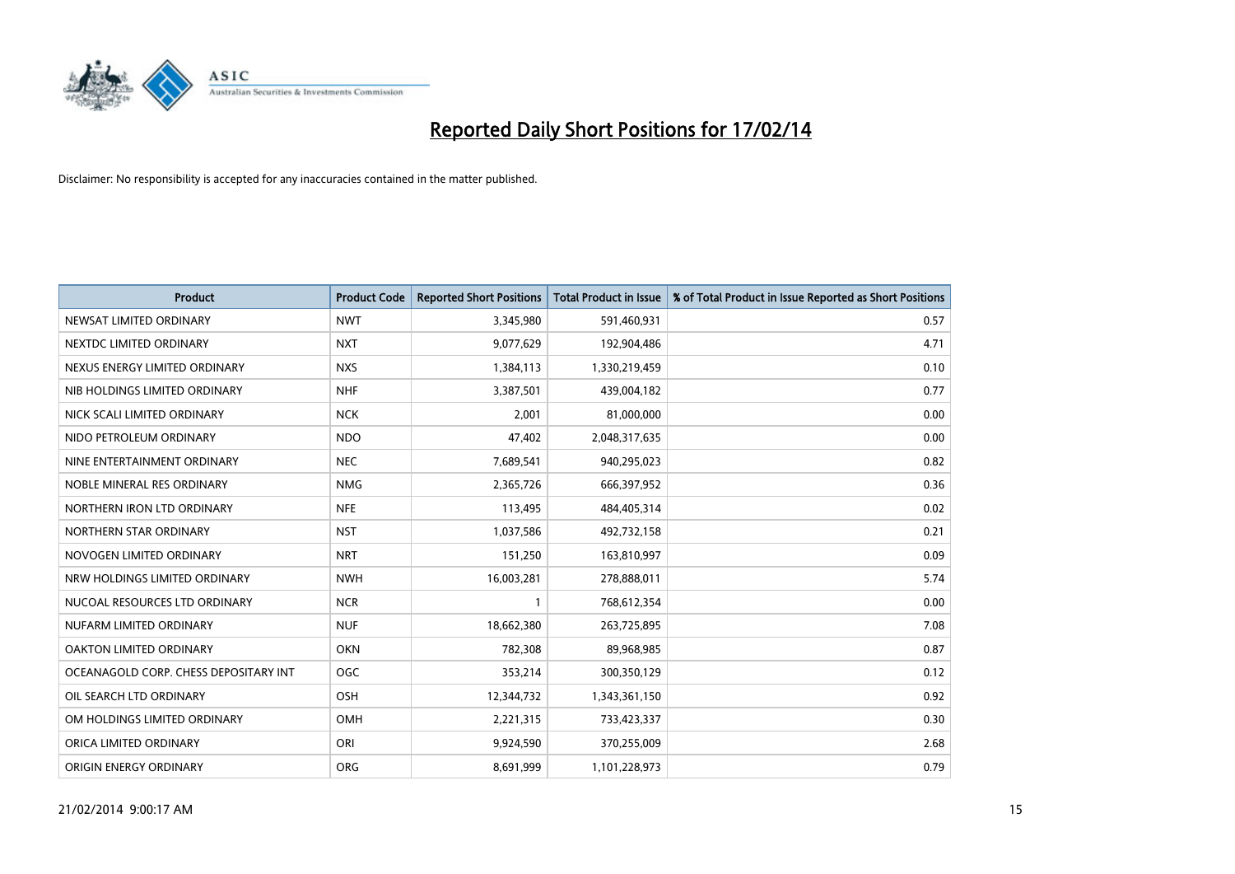

| <b>Product</b>                        | <b>Product Code</b> | <b>Reported Short Positions</b> | <b>Total Product in Issue</b> | % of Total Product in Issue Reported as Short Positions |
|---------------------------------------|---------------------|---------------------------------|-------------------------------|---------------------------------------------------------|
| NEWSAT LIMITED ORDINARY               | <b>NWT</b>          | 3,345,980                       | 591,460,931                   | 0.57                                                    |
| NEXTDC LIMITED ORDINARY               | <b>NXT</b>          | 9,077,629                       | 192,904,486                   | 4.71                                                    |
| NEXUS ENERGY LIMITED ORDINARY         | <b>NXS</b>          | 1,384,113                       | 1,330,219,459                 | 0.10                                                    |
| NIB HOLDINGS LIMITED ORDINARY         | <b>NHF</b>          | 3,387,501                       | 439,004,182                   | 0.77                                                    |
| NICK SCALI LIMITED ORDINARY           | <b>NCK</b>          | 2,001                           | 81,000,000                    | 0.00                                                    |
| NIDO PETROLEUM ORDINARY               | <b>NDO</b>          | 47,402                          | 2,048,317,635                 | 0.00                                                    |
| NINE ENTERTAINMENT ORDINARY           | <b>NEC</b>          | 7,689,541                       | 940,295,023                   | 0.82                                                    |
| NOBLE MINERAL RES ORDINARY            | <b>NMG</b>          | 2,365,726                       | 666,397,952                   | 0.36                                                    |
| NORTHERN IRON LTD ORDINARY            | <b>NFE</b>          | 113,495                         | 484,405,314                   | 0.02                                                    |
| NORTHERN STAR ORDINARY                | <b>NST</b>          | 1,037,586                       | 492,732,158                   | 0.21                                                    |
| NOVOGEN LIMITED ORDINARY              | <b>NRT</b>          | 151,250                         | 163,810,997                   | 0.09                                                    |
| NRW HOLDINGS LIMITED ORDINARY         | <b>NWH</b>          | 16,003,281                      | 278,888,011                   | 5.74                                                    |
| NUCOAL RESOURCES LTD ORDINARY         | <b>NCR</b>          | $\mathbf{1}$                    | 768,612,354                   | 0.00                                                    |
| NUFARM LIMITED ORDINARY               | <b>NUF</b>          | 18,662,380                      | 263,725,895                   | 7.08                                                    |
| OAKTON LIMITED ORDINARY               | <b>OKN</b>          | 782,308                         | 89,968,985                    | 0.87                                                    |
| OCEANAGOLD CORP. CHESS DEPOSITARY INT | <b>OGC</b>          | 353,214                         | 300,350,129                   | 0.12                                                    |
| OIL SEARCH LTD ORDINARY               | OSH                 | 12,344,732                      | 1,343,361,150                 | 0.92                                                    |
| OM HOLDINGS LIMITED ORDINARY          | <b>OMH</b>          | 2,221,315                       | 733,423,337                   | 0.30                                                    |
| ORICA LIMITED ORDINARY                | ORI                 | 9,924,590                       | 370,255,009                   | 2.68                                                    |
| ORIGIN ENERGY ORDINARY                | <b>ORG</b>          | 8,691,999                       | 1,101,228,973                 | 0.79                                                    |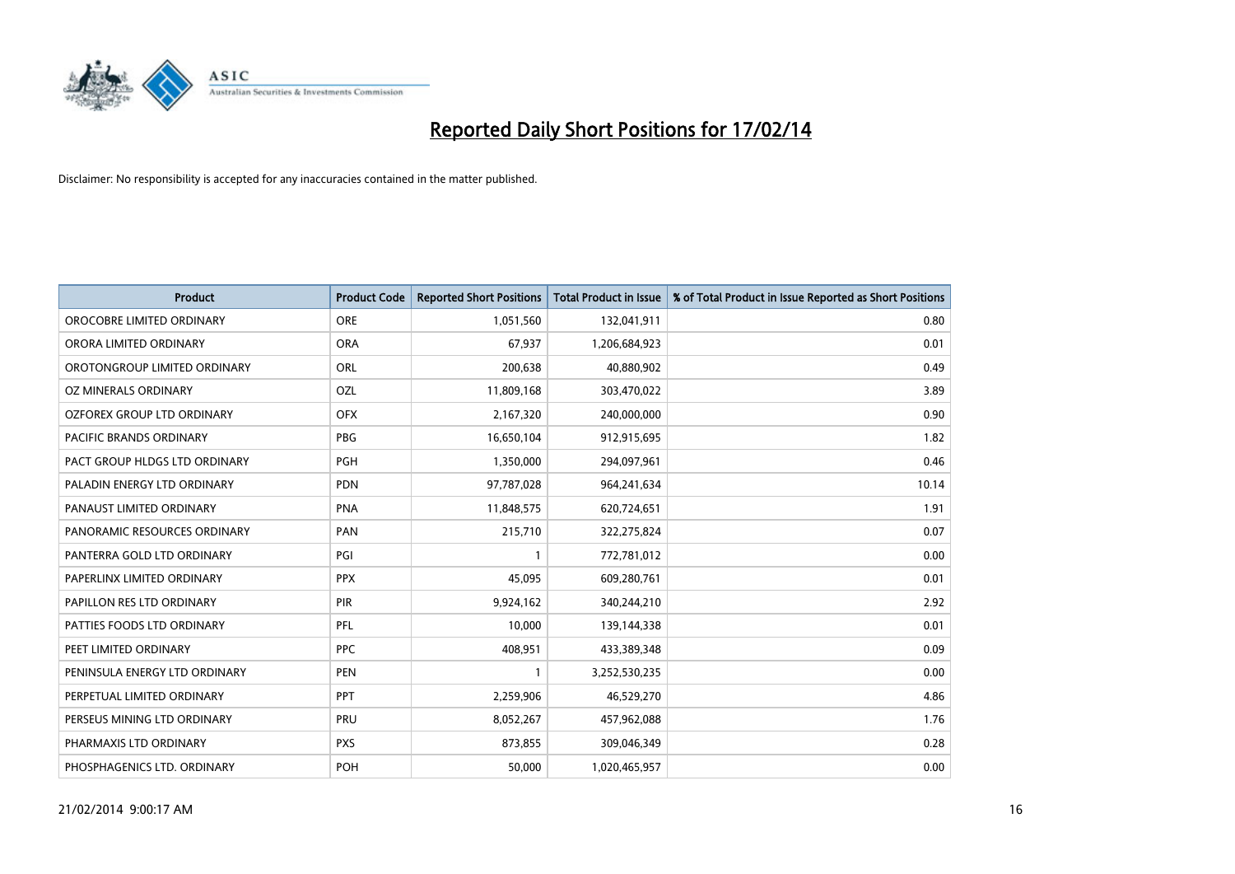

| <b>Product</b>                    | <b>Product Code</b> | <b>Reported Short Positions</b> | <b>Total Product in Issue</b> | % of Total Product in Issue Reported as Short Positions |
|-----------------------------------|---------------------|---------------------------------|-------------------------------|---------------------------------------------------------|
| OROCOBRE LIMITED ORDINARY         | <b>ORE</b>          | 1,051,560                       | 132,041,911                   | 0.80                                                    |
| ORORA LIMITED ORDINARY            | <b>ORA</b>          | 67,937                          | 1,206,684,923                 | 0.01                                                    |
| OROTONGROUP LIMITED ORDINARY      | <b>ORL</b>          | 200,638                         | 40,880,902                    | 0.49                                                    |
| OZ MINERALS ORDINARY              | OZL                 | 11,809,168                      | 303,470,022                   | 3.89                                                    |
| <b>OZFOREX GROUP LTD ORDINARY</b> | <b>OFX</b>          | 2,167,320                       | 240,000,000                   | 0.90                                                    |
| PACIFIC BRANDS ORDINARY           | <b>PBG</b>          | 16,650,104                      | 912,915,695                   | 1.82                                                    |
| PACT GROUP HLDGS LTD ORDINARY     | <b>PGH</b>          | 1,350,000                       | 294,097,961                   | 0.46                                                    |
| PALADIN ENERGY LTD ORDINARY       | <b>PDN</b>          | 97,787,028                      | 964,241,634                   | 10.14                                                   |
| PANAUST LIMITED ORDINARY          | <b>PNA</b>          | 11,848,575                      | 620,724,651                   | 1.91                                                    |
| PANORAMIC RESOURCES ORDINARY      | PAN                 | 215,710                         | 322,275,824                   | 0.07                                                    |
| PANTERRA GOLD LTD ORDINARY        | PGI                 | 1                               | 772,781,012                   | 0.00                                                    |
| PAPERLINX LIMITED ORDINARY        | <b>PPX</b>          | 45,095                          | 609,280,761                   | 0.01                                                    |
| PAPILLON RES LTD ORDINARY         | PIR                 | 9,924,162                       | 340,244,210                   | 2.92                                                    |
| PATTIES FOODS LTD ORDINARY        | PFL                 | 10,000                          | 139,144,338                   | 0.01                                                    |
| PEET LIMITED ORDINARY             | <b>PPC</b>          | 408,951                         | 433,389,348                   | 0.09                                                    |
| PENINSULA ENERGY LTD ORDINARY     | <b>PEN</b>          |                                 | 3,252,530,235                 | 0.00                                                    |
| PERPETUAL LIMITED ORDINARY        | <b>PPT</b>          | 2,259,906                       | 46,529,270                    | 4.86                                                    |
| PERSEUS MINING LTD ORDINARY       | <b>PRU</b>          | 8,052,267                       | 457,962,088                   | 1.76                                                    |
| PHARMAXIS LTD ORDINARY            | <b>PXS</b>          | 873,855                         | 309,046,349                   | 0.28                                                    |
| PHOSPHAGENICS LTD. ORDINARY       | POH                 | 50,000                          | 1,020,465,957                 | 0.00                                                    |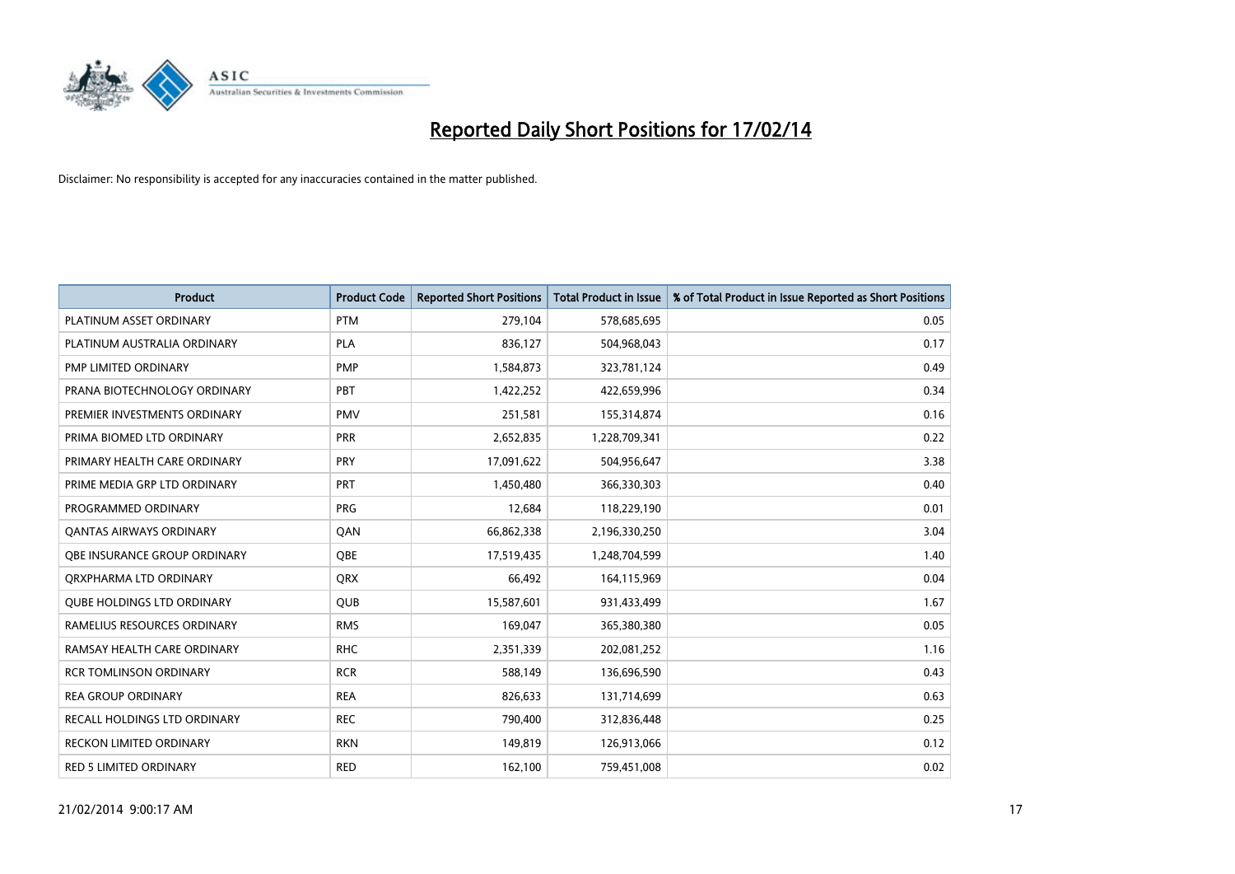

| <b>Product</b>                      | <b>Product Code</b> | <b>Reported Short Positions</b> | <b>Total Product in Issue</b> | % of Total Product in Issue Reported as Short Positions |
|-------------------------------------|---------------------|---------------------------------|-------------------------------|---------------------------------------------------------|
| PLATINUM ASSET ORDINARY             | <b>PTM</b>          | 279,104                         | 578,685,695                   | 0.05                                                    |
| PLATINUM AUSTRALIA ORDINARY         | <b>PLA</b>          | 836,127                         | 504,968,043                   | 0.17                                                    |
| PMP LIMITED ORDINARY                | <b>PMP</b>          | 1,584,873                       | 323,781,124                   | 0.49                                                    |
| PRANA BIOTECHNOLOGY ORDINARY        | PBT                 | 1,422,252                       | 422,659,996                   | 0.34                                                    |
| PREMIER INVESTMENTS ORDINARY        | <b>PMV</b>          | 251,581                         | 155,314,874                   | 0.16                                                    |
| PRIMA BIOMED LTD ORDINARY           | <b>PRR</b>          | 2,652,835                       | 1,228,709,341                 | 0.22                                                    |
| PRIMARY HEALTH CARE ORDINARY        | <b>PRY</b>          | 17,091,622                      | 504,956,647                   | 3.38                                                    |
| PRIME MEDIA GRP LTD ORDINARY        | <b>PRT</b>          | 1,450,480                       | 366,330,303                   | 0.40                                                    |
| PROGRAMMED ORDINARY                 | <b>PRG</b>          | 12,684                          | 118,229,190                   | 0.01                                                    |
| <b>QANTAS AIRWAYS ORDINARY</b>      | QAN                 | 66,862,338                      | 2,196,330,250                 | 3.04                                                    |
| <b>OBE INSURANCE GROUP ORDINARY</b> | <b>OBE</b>          | 17,519,435                      | 1,248,704,599                 | 1.40                                                    |
| ORXPHARMA LTD ORDINARY              | QRX                 | 66,492                          | 164,115,969                   | 0.04                                                    |
| <b>QUBE HOLDINGS LTD ORDINARY</b>   | <b>QUB</b>          | 15,587,601                      | 931,433,499                   | 1.67                                                    |
| RAMELIUS RESOURCES ORDINARY         | <b>RMS</b>          | 169,047                         | 365,380,380                   | 0.05                                                    |
| RAMSAY HEALTH CARE ORDINARY         | <b>RHC</b>          | 2,351,339                       | 202,081,252                   | 1.16                                                    |
| <b>RCR TOMLINSON ORDINARY</b>       | <b>RCR</b>          | 588,149                         | 136,696,590                   | 0.43                                                    |
| <b>REA GROUP ORDINARY</b>           | <b>REA</b>          | 826,633                         | 131,714,699                   | 0.63                                                    |
| RECALL HOLDINGS LTD ORDINARY        | <b>REC</b>          | 790,400                         | 312,836,448                   | 0.25                                                    |
| <b>RECKON LIMITED ORDINARY</b>      | <b>RKN</b>          | 149,819                         | 126,913,066                   | 0.12                                                    |
| <b>RED 5 LIMITED ORDINARY</b>       | <b>RED</b>          | 162,100                         | 759,451,008                   | 0.02                                                    |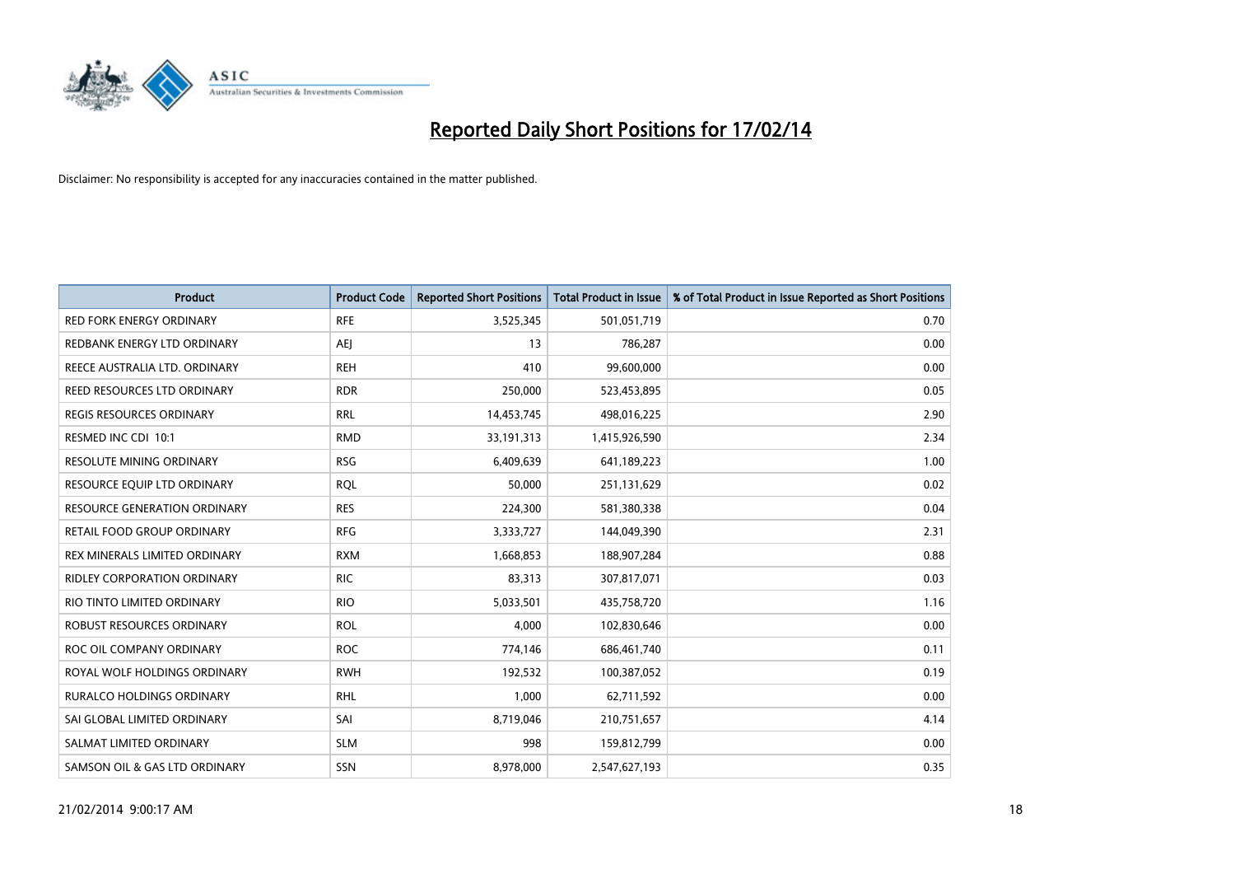

| <b>Product</b>                      | <b>Product Code</b> | <b>Reported Short Positions</b> | <b>Total Product in Issue</b> | % of Total Product in Issue Reported as Short Positions |
|-------------------------------------|---------------------|---------------------------------|-------------------------------|---------------------------------------------------------|
| <b>RED FORK ENERGY ORDINARY</b>     | <b>RFE</b>          | 3,525,345                       | 501,051,719                   | 0.70                                                    |
| REDBANK ENERGY LTD ORDINARY         | <b>AEI</b>          | 13                              | 786,287                       | 0.00                                                    |
| REECE AUSTRALIA LTD. ORDINARY       | <b>REH</b>          | 410                             | 99,600,000                    | 0.00                                                    |
| REED RESOURCES LTD ORDINARY         | <b>RDR</b>          | 250,000                         | 523,453,895                   | 0.05                                                    |
| <b>REGIS RESOURCES ORDINARY</b>     | <b>RRL</b>          | 14,453,745                      | 498,016,225                   | 2.90                                                    |
| RESMED INC CDI 10:1                 | <b>RMD</b>          | 33,191,313                      | 1,415,926,590                 | 2.34                                                    |
| <b>RESOLUTE MINING ORDINARY</b>     | <b>RSG</b>          | 6,409,639                       | 641,189,223                   | 1.00                                                    |
| RESOURCE EQUIP LTD ORDINARY         | <b>RQL</b>          | 50,000                          | 251,131,629                   | 0.02                                                    |
| <b>RESOURCE GENERATION ORDINARY</b> | <b>RES</b>          | 224,300                         | 581,380,338                   | 0.04                                                    |
| RETAIL FOOD GROUP ORDINARY          | <b>RFG</b>          | 3,333,727                       | 144,049,390                   | 2.31                                                    |
| REX MINERALS LIMITED ORDINARY       | <b>RXM</b>          | 1,668,853                       | 188,907,284                   | 0.88                                                    |
| <b>RIDLEY CORPORATION ORDINARY</b>  | <b>RIC</b>          | 83,313                          | 307,817,071                   | 0.03                                                    |
| RIO TINTO LIMITED ORDINARY          | <b>RIO</b>          | 5,033,501                       | 435,758,720                   | 1.16                                                    |
| ROBUST RESOURCES ORDINARY           | <b>ROL</b>          | 4,000                           | 102,830,646                   | 0.00                                                    |
| ROC OIL COMPANY ORDINARY            | <b>ROC</b>          | 774,146                         | 686,461,740                   | 0.11                                                    |
| ROYAL WOLF HOLDINGS ORDINARY        | <b>RWH</b>          | 192,532                         | 100,387,052                   | 0.19                                                    |
| RURALCO HOLDINGS ORDINARY           | <b>RHL</b>          | 1,000                           | 62,711,592                    | 0.00                                                    |
| SAI GLOBAL LIMITED ORDINARY         | SAI                 | 8,719,046                       | 210,751,657                   | 4.14                                                    |
| SALMAT LIMITED ORDINARY             | <b>SLM</b>          | 998                             | 159,812,799                   | 0.00                                                    |
| SAMSON OIL & GAS LTD ORDINARY       | SSN                 | 8,978,000                       | 2,547,627,193                 | 0.35                                                    |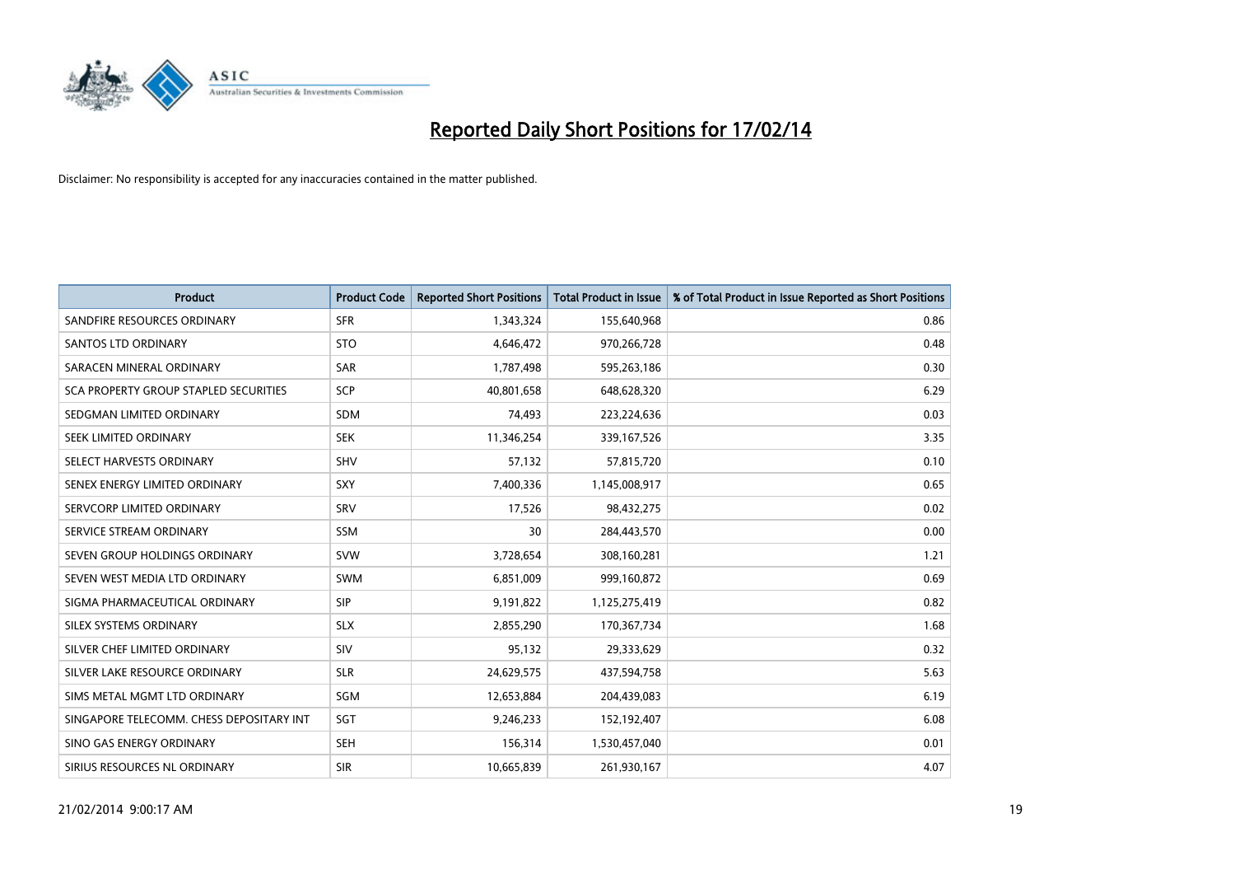

| <b>Product</b>                           | <b>Product Code</b> | <b>Reported Short Positions</b> | <b>Total Product in Issue</b> | % of Total Product in Issue Reported as Short Positions |
|------------------------------------------|---------------------|---------------------------------|-------------------------------|---------------------------------------------------------|
| SANDFIRE RESOURCES ORDINARY              | <b>SFR</b>          | 1,343,324                       | 155,640,968                   | 0.86                                                    |
| SANTOS LTD ORDINARY                      | <b>STO</b>          | 4,646,472                       | 970,266,728                   | 0.48                                                    |
| SARACEN MINERAL ORDINARY                 | <b>SAR</b>          | 1,787,498                       | 595,263,186                   | 0.30                                                    |
| SCA PROPERTY GROUP STAPLED SECURITIES    | <b>SCP</b>          | 40,801,658                      | 648,628,320                   | 6.29                                                    |
| SEDGMAN LIMITED ORDINARY                 | <b>SDM</b>          | 74,493                          | 223,224,636                   | 0.03                                                    |
| SEEK LIMITED ORDINARY                    | <b>SEK</b>          | 11,346,254                      | 339,167,526                   | 3.35                                                    |
| SELECT HARVESTS ORDINARY                 | <b>SHV</b>          | 57,132                          | 57,815,720                    | 0.10                                                    |
| SENEX ENERGY LIMITED ORDINARY            | SXY                 | 7,400,336                       | 1,145,008,917                 | 0.65                                                    |
| SERVCORP LIMITED ORDINARY                | SRV                 | 17,526                          | 98,432,275                    | 0.02                                                    |
| SERVICE STREAM ORDINARY                  | <b>SSM</b>          | 30                              | 284,443,570                   | 0.00                                                    |
| SEVEN GROUP HOLDINGS ORDINARY            | <b>SVW</b>          | 3,728,654                       | 308,160,281                   | 1.21                                                    |
| SEVEN WEST MEDIA LTD ORDINARY            | SWM                 | 6,851,009                       | 999,160,872                   | 0.69                                                    |
| SIGMA PHARMACEUTICAL ORDINARY            | <b>SIP</b>          | 9,191,822                       | 1,125,275,419                 | 0.82                                                    |
| SILEX SYSTEMS ORDINARY                   | <b>SLX</b>          | 2,855,290                       | 170,367,734                   | 1.68                                                    |
| SILVER CHEF LIMITED ORDINARY             | SIV                 | 95,132                          | 29,333,629                    | 0.32                                                    |
| SILVER LAKE RESOURCE ORDINARY            | <b>SLR</b>          | 24,629,575                      | 437,594,758                   | 5.63                                                    |
| SIMS METAL MGMT LTD ORDINARY             | SGM                 | 12,653,884                      | 204,439,083                   | 6.19                                                    |
| SINGAPORE TELECOMM. CHESS DEPOSITARY INT | SGT                 | 9,246,233                       | 152,192,407                   | 6.08                                                    |
| SINO GAS ENERGY ORDINARY                 | <b>SEH</b>          | 156,314                         | 1,530,457,040                 | 0.01                                                    |
| SIRIUS RESOURCES NL ORDINARY             | <b>SIR</b>          | 10,665,839                      | 261,930,167                   | 4.07                                                    |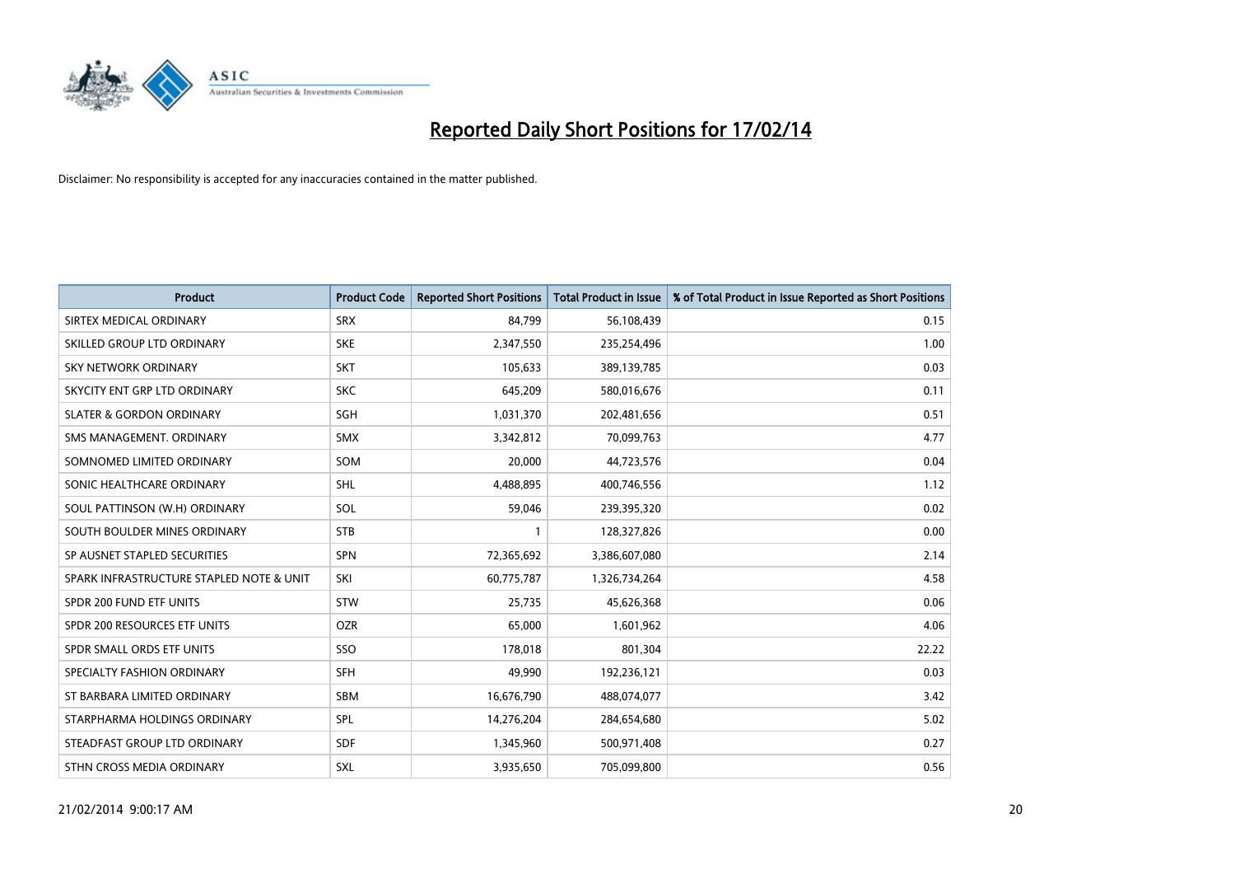

| <b>Product</b>                           | <b>Product Code</b> | <b>Reported Short Positions</b> | <b>Total Product in Issue</b> | % of Total Product in Issue Reported as Short Positions |
|------------------------------------------|---------------------|---------------------------------|-------------------------------|---------------------------------------------------------|
| SIRTEX MEDICAL ORDINARY                  | <b>SRX</b>          | 84,799                          | 56,108,439                    | 0.15                                                    |
| SKILLED GROUP LTD ORDINARY               | <b>SKE</b>          | 2,347,550                       | 235,254,496                   | 1.00                                                    |
| <b>SKY NETWORK ORDINARY</b>              | <b>SKT</b>          | 105,633                         | 389,139,785                   | 0.03                                                    |
| SKYCITY ENT GRP LTD ORDINARY             | <b>SKC</b>          | 645,209                         | 580,016,676                   | 0.11                                                    |
| <b>SLATER &amp; GORDON ORDINARY</b>      | SGH                 | 1,031,370                       | 202,481,656                   | 0.51                                                    |
| SMS MANAGEMENT, ORDINARY                 | <b>SMX</b>          | 3,342,812                       | 70,099,763                    | 4.77                                                    |
| SOMNOMED LIMITED ORDINARY                | SOM                 | 20,000                          | 44,723,576                    | 0.04                                                    |
| SONIC HEALTHCARE ORDINARY                | <b>SHL</b>          | 4,488,895                       | 400,746,556                   | 1.12                                                    |
| SOUL PATTINSON (W.H) ORDINARY            | SOL                 | 59,046                          | 239,395,320                   | 0.02                                                    |
| SOUTH BOULDER MINES ORDINARY             | <b>STB</b>          | 1                               | 128,327,826                   | 0.00                                                    |
| SP AUSNET STAPLED SECURITIES             | <b>SPN</b>          | 72,365,692                      | 3,386,607,080                 | 2.14                                                    |
| SPARK INFRASTRUCTURE STAPLED NOTE & UNIT | SKI                 | 60,775,787                      | 1,326,734,264                 | 4.58                                                    |
| SPDR 200 FUND ETF UNITS                  | <b>STW</b>          | 25,735                          | 45,626,368                    | 0.06                                                    |
| SPDR 200 RESOURCES ETF UNITS             | <b>OZR</b>          | 65,000                          | 1,601,962                     | 4.06                                                    |
| SPDR SMALL ORDS ETF UNITS                | SSO                 | 178,018                         | 801,304                       | 22.22                                                   |
| SPECIALTY FASHION ORDINARY               | SFH                 | 49,990                          | 192,236,121                   | 0.03                                                    |
| ST BARBARA LIMITED ORDINARY              | SBM                 | 16,676,790                      | 488,074,077                   | 3.42                                                    |
| STARPHARMA HOLDINGS ORDINARY             | <b>SPL</b>          | 14,276,204                      | 284,654,680                   | 5.02                                                    |
| STEADFAST GROUP LTD ORDINARY             | <b>SDF</b>          | 1,345,960                       | 500,971,408                   | 0.27                                                    |
| STHN CROSS MEDIA ORDINARY                | <b>SXL</b>          | 3,935,650                       | 705,099,800                   | 0.56                                                    |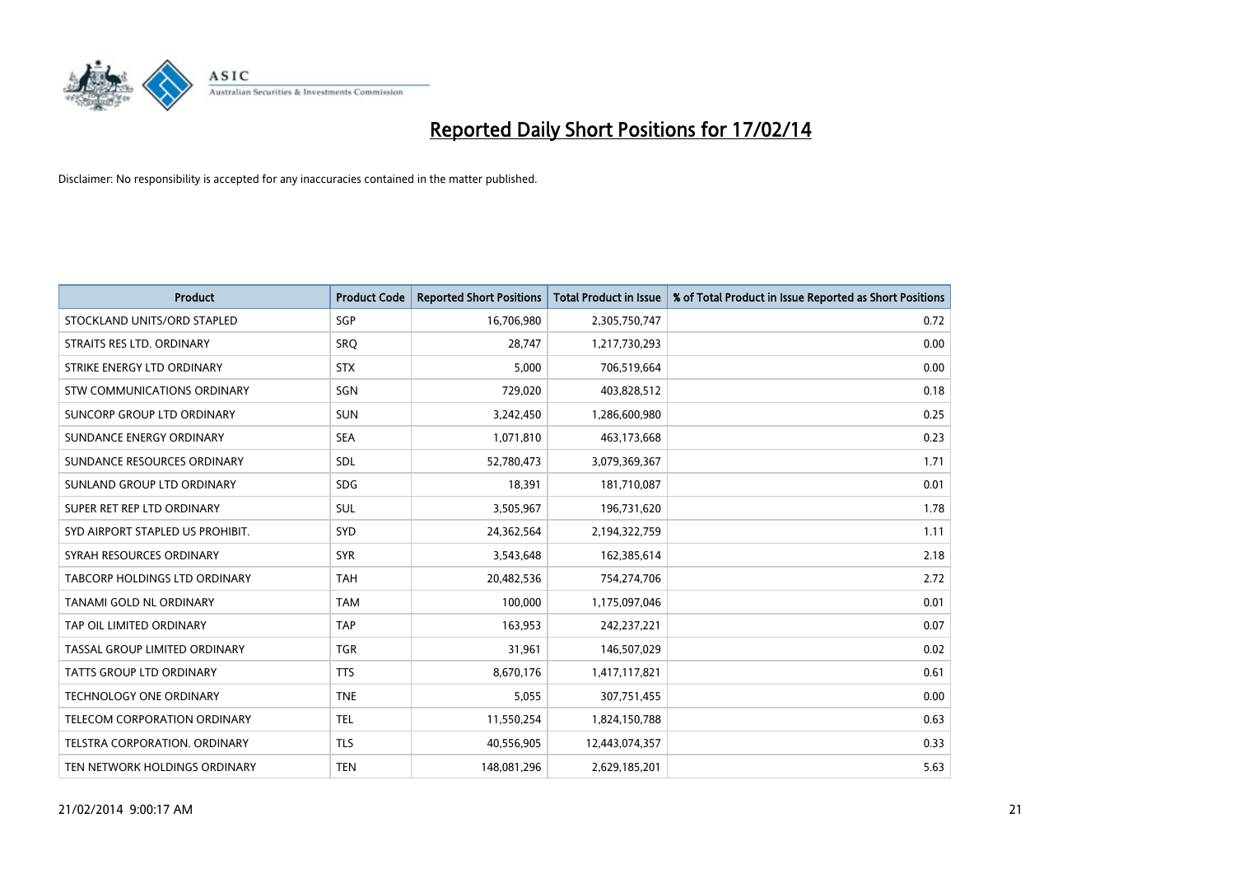

| <b>Product</b>                    | <b>Product Code</b> | <b>Reported Short Positions</b> | <b>Total Product in Issue</b> | % of Total Product in Issue Reported as Short Positions |
|-----------------------------------|---------------------|---------------------------------|-------------------------------|---------------------------------------------------------|
| STOCKLAND UNITS/ORD STAPLED       | SGP                 | 16,706,980                      | 2,305,750,747                 | 0.72                                                    |
| STRAITS RES LTD. ORDINARY         | SRQ                 | 28.747                          | 1,217,730,293                 | 0.00                                                    |
| STRIKE ENERGY LTD ORDINARY        | <b>STX</b>          | 5,000                           | 706,519,664                   | 0.00                                                    |
| STW COMMUNICATIONS ORDINARY       | SGN                 | 729,020                         | 403,828,512                   | 0.18                                                    |
| <b>SUNCORP GROUP LTD ORDINARY</b> | <b>SUN</b>          | 3,242,450                       | 1,286,600,980                 | 0.25                                                    |
| SUNDANCE ENERGY ORDINARY          | <b>SEA</b>          | 1,071,810                       | 463,173,668                   | 0.23                                                    |
| SUNDANCE RESOURCES ORDINARY       | SDL                 | 52,780,473                      | 3,079,369,367                 | 1.71                                                    |
| SUNLAND GROUP LTD ORDINARY        | <b>SDG</b>          | 18,391                          | 181,710,087                   | 0.01                                                    |
| SUPER RET REP LTD ORDINARY        | <b>SUL</b>          | 3,505,967                       | 196,731,620                   | 1.78                                                    |
| SYD AIRPORT STAPLED US PROHIBIT.  | SYD                 | 24,362,564                      | 2,194,322,759                 | 1.11                                                    |
| SYRAH RESOURCES ORDINARY          | <b>SYR</b>          | 3,543,648                       | 162,385,614                   | 2.18                                                    |
| TABCORP HOLDINGS LTD ORDINARY     | <b>TAH</b>          | 20,482,536                      | 754,274,706                   | 2.72                                                    |
| TANAMI GOLD NL ORDINARY           | <b>TAM</b>          | 100.000                         | 1,175,097,046                 | 0.01                                                    |
| TAP OIL LIMITED ORDINARY          | <b>TAP</b>          | 163,953                         | 242,237,221                   | 0.07                                                    |
| TASSAL GROUP LIMITED ORDINARY     | <b>TGR</b>          | 31,961                          | 146,507,029                   | 0.02                                                    |
| <b>TATTS GROUP LTD ORDINARY</b>   | <b>TTS</b>          | 8,670,176                       | 1,417,117,821                 | 0.61                                                    |
| <b>TECHNOLOGY ONE ORDINARY</b>    | <b>TNE</b>          | 5,055                           | 307,751,455                   | 0.00                                                    |
| TELECOM CORPORATION ORDINARY      | <b>TEL</b>          | 11,550,254                      | 1,824,150,788                 | 0.63                                                    |
| TELSTRA CORPORATION, ORDINARY     | <b>TLS</b>          | 40,556,905                      | 12,443,074,357                | 0.33                                                    |
| TEN NETWORK HOLDINGS ORDINARY     | <b>TEN</b>          | 148,081,296                     | 2,629,185,201                 | 5.63                                                    |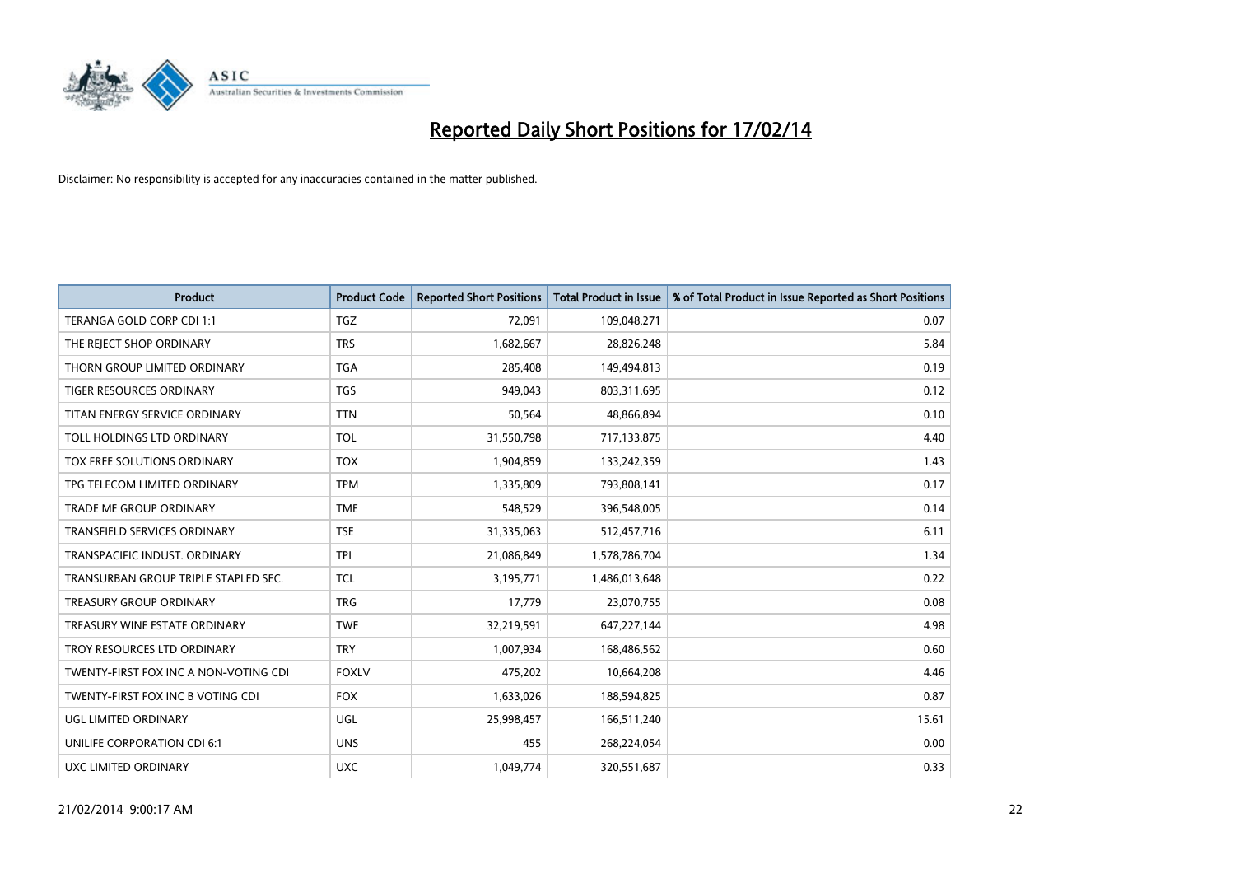

| <b>Product</b>                        | <b>Product Code</b> | <b>Reported Short Positions</b> | <b>Total Product in Issue</b> | % of Total Product in Issue Reported as Short Positions |
|---------------------------------------|---------------------|---------------------------------|-------------------------------|---------------------------------------------------------|
| TERANGA GOLD CORP CDI 1:1             | <b>TGZ</b>          | 72,091                          | 109,048,271                   | 0.07                                                    |
| THE REJECT SHOP ORDINARY              | <b>TRS</b>          | 1,682,667                       | 28,826,248                    | 5.84                                                    |
| THORN GROUP LIMITED ORDINARY          | <b>TGA</b>          | 285,408                         | 149,494,813                   | 0.19                                                    |
| TIGER RESOURCES ORDINARY              | <b>TGS</b>          | 949,043                         | 803,311,695                   | 0.12                                                    |
| TITAN ENERGY SERVICE ORDINARY         | <b>TTN</b>          | 50,564                          | 48,866,894                    | 0.10                                                    |
| TOLL HOLDINGS LTD ORDINARY            | <b>TOL</b>          | 31,550,798                      | 717,133,875                   | 4.40                                                    |
| TOX FREE SOLUTIONS ORDINARY           | <b>TOX</b>          | 1,904,859                       | 133,242,359                   | 1.43                                                    |
| TPG TELECOM LIMITED ORDINARY          | <b>TPM</b>          | 1,335,809                       | 793,808,141                   | 0.17                                                    |
| <b>TRADE ME GROUP ORDINARY</b>        | <b>TME</b>          | 548,529                         | 396,548,005                   | 0.14                                                    |
| TRANSFIELD SERVICES ORDINARY          | <b>TSE</b>          | 31,335,063                      | 512,457,716                   | 6.11                                                    |
| TRANSPACIFIC INDUST. ORDINARY         | <b>TPI</b>          | 21,086,849                      | 1,578,786,704                 | 1.34                                                    |
| TRANSURBAN GROUP TRIPLE STAPLED SEC.  | <b>TCL</b>          | 3,195,771                       | 1,486,013,648                 | 0.22                                                    |
| TREASURY GROUP ORDINARY               | <b>TRG</b>          | 17,779                          | 23,070,755                    | 0.08                                                    |
| TREASURY WINE ESTATE ORDINARY         | <b>TWE</b>          | 32,219,591                      | 647,227,144                   | 4.98                                                    |
| TROY RESOURCES LTD ORDINARY           | <b>TRY</b>          | 1,007,934                       | 168,486,562                   | 0.60                                                    |
| TWENTY-FIRST FOX INC A NON-VOTING CDI | <b>FOXLV</b>        | 475,202                         | 10,664,208                    | 4.46                                                    |
| TWENTY-FIRST FOX INC B VOTING CDI     | <b>FOX</b>          | 1,633,026                       | 188,594,825                   | 0.87                                                    |
| UGL LIMITED ORDINARY                  | <b>UGL</b>          | 25,998,457                      | 166,511,240                   | 15.61                                                   |
| UNILIFE CORPORATION CDI 6:1           | <b>UNS</b>          | 455                             | 268,224,054                   | 0.00                                                    |
| UXC LIMITED ORDINARY                  | <b>UXC</b>          | 1,049,774                       | 320,551,687                   | 0.33                                                    |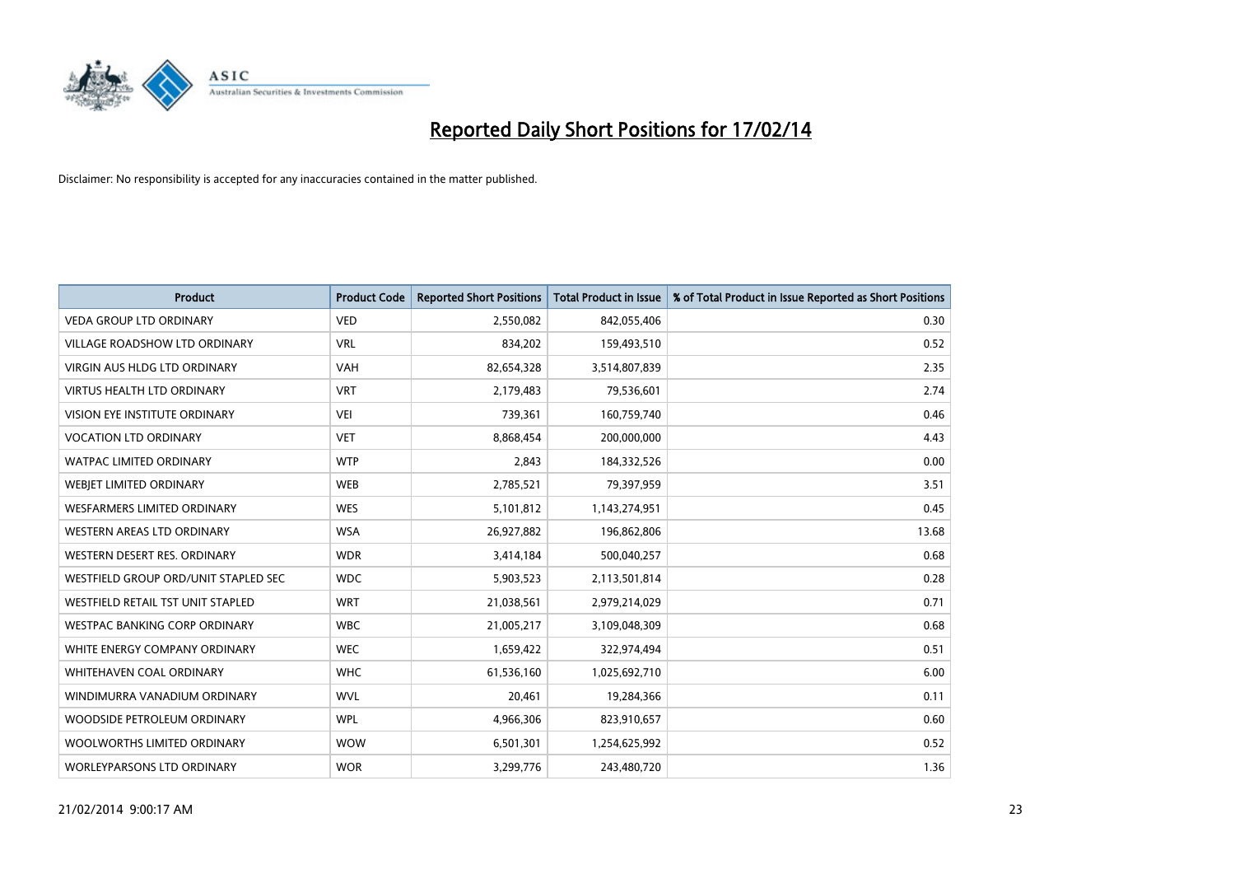

| <b>Product</b>                       | <b>Product Code</b> | <b>Reported Short Positions</b> | <b>Total Product in Issue</b> | % of Total Product in Issue Reported as Short Positions |
|--------------------------------------|---------------------|---------------------------------|-------------------------------|---------------------------------------------------------|
| <b>VEDA GROUP LTD ORDINARY</b>       | <b>VED</b>          | 2,550,082                       | 842,055,406                   | 0.30                                                    |
| VILLAGE ROADSHOW LTD ORDINARY        | <b>VRL</b>          | 834,202                         | 159,493,510                   | 0.52                                                    |
| <b>VIRGIN AUS HLDG LTD ORDINARY</b>  | <b>VAH</b>          | 82,654,328                      | 3,514,807,839                 | 2.35                                                    |
| <b>VIRTUS HEALTH LTD ORDINARY</b>    | <b>VRT</b>          | 2,179,483                       | 79,536,601                    | 2.74                                                    |
| <b>VISION EYE INSTITUTE ORDINARY</b> | <b>VEI</b>          | 739,361                         | 160,759,740                   | 0.46                                                    |
| <b>VOCATION LTD ORDINARY</b>         | <b>VET</b>          | 8,868,454                       | 200,000,000                   | 4.43                                                    |
| <b>WATPAC LIMITED ORDINARY</b>       | <b>WTP</b>          | 2,843                           | 184,332,526                   | 0.00                                                    |
| WEBIET LIMITED ORDINARY              | <b>WEB</b>          | 2,785,521                       | 79,397,959                    | 3.51                                                    |
| WESFARMERS LIMITED ORDINARY          | <b>WES</b>          | 5,101,812                       | 1,143,274,951                 | 0.45                                                    |
| WESTERN AREAS LTD ORDINARY           | <b>WSA</b>          | 26,927,882                      | 196,862,806                   | 13.68                                                   |
| WESTERN DESERT RES. ORDINARY         | <b>WDR</b>          | 3,414,184                       | 500,040,257                   | 0.68                                                    |
| WESTFIELD GROUP ORD/UNIT STAPLED SEC | <b>WDC</b>          | 5,903,523                       | 2,113,501,814                 | 0.28                                                    |
| WESTFIELD RETAIL TST UNIT STAPLED    | <b>WRT</b>          | 21,038,561                      | 2,979,214,029                 | 0.71                                                    |
| <b>WESTPAC BANKING CORP ORDINARY</b> | <b>WBC</b>          | 21,005,217                      | 3,109,048,309                 | 0.68                                                    |
| WHITE ENERGY COMPANY ORDINARY        | <b>WEC</b>          | 1,659,422                       | 322,974,494                   | 0.51                                                    |
| <b>WHITEHAVEN COAL ORDINARY</b>      | <b>WHC</b>          | 61,536,160                      | 1,025,692,710                 | 6.00                                                    |
| WINDIMURRA VANADIUM ORDINARY         | <b>WVL</b>          | 20,461                          | 19,284,366                    | 0.11                                                    |
| WOODSIDE PETROLEUM ORDINARY          | <b>WPL</b>          | 4,966,306                       | 823,910,657                   | 0.60                                                    |
| WOOLWORTHS LIMITED ORDINARY          | <b>WOW</b>          | 6,501,301                       | 1,254,625,992                 | 0.52                                                    |
| <b>WORLEYPARSONS LTD ORDINARY</b>    | <b>WOR</b>          | 3,299,776                       | 243,480,720                   | 1.36                                                    |